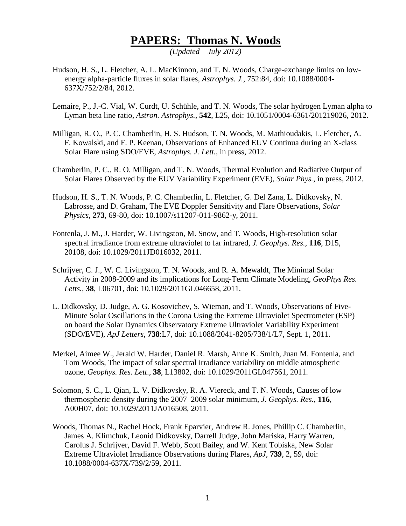## **PAPERS: Thomas N. Woods**

*(Updated – July 2012)*

- Hudson, H. S., L. Fletcher, A. L. MacKinnon, and T. N. Woods, Charge-exchange limits on lowenergy alpha-particle fluxes in solar flares, *Astrophys. J.*, 752:84, doi: 10.1088/0004- 637X/752/2/84, 2012.
- Lemaire, P., J.-C. Vial, W. Curdt, U. Schühle, and T. N. Woods, The solar hydrogen Lyman alpha to Lyman beta line ratio, *Astron. Astrophys.*, **542**, L25, doi: 10.1051/0004-6361/201219026, 2012.
- Milligan, R. O., P. C. Chamberlin, H. S. Hudson, T. N. Woods, M. Mathioudakis, L. Fletcher, A. F. Kowalski, and F. P. Keenan, Observations of Enhanced EUV Continua during an X-class Solar Flare using SDO/EVE, *Astrophys. J. Lett.*, in press, 2012.
- Chamberlin, P. C., R. O. Milligan, and T. N. Woods, Thermal Evolution and Radiative Output of Solar Flares Observed by the EUV Variability Experiment (EVE), *Solar Phys.*, in press, 2012.
- Hudson, H. S., T. N. Woods, P. C. Chamberlin, L. Fletcher, G. Del Zana, L. Didkovsky, N. Labrosse, and D. Graham, The EVE Doppler Sensitivity and Flare Observations, *Solar Physics,* **273**, 69-80, doi: 10.1007/s11207-011-9862-y, 2011.
- Fontenla, J. M., J. Harder, W. Livingston, M. Snow, and T. Woods, High-resolution solar spectral irradiance from extreme ultraviolet to far infrared, *J. Geophys. Res.,* **116**, D15, 20108, doi: 10.1029/2011JD016032, 2011.
- Schrijver, C. J., W. C. Livingston, T. N. Woods, and R. A. Mewaldt, The Minimal Solar Activity in 2008-2009 and its implications for Long-Term Climate Modeling, *GeoPhys Res. Letts.,* **38**, L06701, doi: 10.1029/2011GL046658, 2011.
- L. Didkovsky, D. Judge, A. G. Kosovichev, S. Wieman, and T. Woods, Observations of Five-Minute Solar Oscillations in the Corona Using the Extreme Ultraviolet Spectrometer (ESP) on board the Solar Dynamics Observatory Extreme Ultraviolet Variability Experiment (SDO/EVE), *ApJ Letters,* **738**:L7, doi: 10.1088/2041-8205/738/1/L7, Sept. 1, 2011.
- Merkel, Aimee W., Jerald W. Harder, Daniel R. Marsh, Anne K. Smith, Juan M. Fontenla, and Tom Woods, The impact of solar spectral irradiance variability on middle atmospheric ozone, *Geophys. Res. Lett*., **38**, L13802, doi: 10.1029/2011GL047561, 2011.
- Solomon, S. C., L. Qian, L. V. Didkovsky, R. A. Viereck, and T. N. Woods, Causes of low thermospheric density during the 2007–2009 solar minimum, *J. Geophys. Res.,* **116**, A00H07, doi: 10.1029/2011JA016508, 2011.
- Woods, Thomas N., Rachel Hock, Frank Eparvier, Andrew R. Jones, Phillip C. Chamberlin, James A. Klimchuk, Leonid Didkovsky, Darrell Judge, John Mariska, Harry Warren, Carolus J. Schrijver, David F. Webb, Scott Bailey, and W. Kent Tobiska, New Solar Extreme Ultraviolet Irradiance Observations during Flares, *ApJ,* **739**, 2, 59, doi: 10.1088/0004-637X/739/2/59, 2011.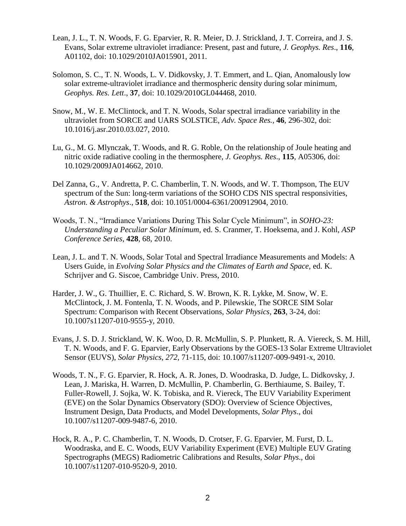- Lean, J. L., T. N. Woods, F. G. Eparvier, R. R. Meier, D. J. Strickland, J. T. Correira, and J. S. Evans, Solar extreme ultraviolet irradiance: Present, past and future, *J. Geophys. Res*., **116**, A01102, doi: 10.1029/2010JA015901, 2011.
- Solomon, S. C., T. N. Woods, L. V. Didkovsky, J. T. Emmert, and L. Qian, Anomalously low solar extreme-ultraviolet irradiance and thermospheric density during solar minimum, *Geophys. Res. Lett*., **37**, doi: 10.1029/2010GL044468, 2010.
- Snow, M., W. E. McClintock, and T. N. Woods, Solar spectral irradiance variability in the ultraviolet from SORCE and UARS SOLSTICE, *Adv. Space Res.,* **46**, 296-302, doi: 10.1016/j.asr.2010.03.027, 2010.
- Lu, G., M. G. Mlynczak, T. Woods, and R. G. Roble, On the relationship of Joule heating and nitric oxide radiative cooling in the thermosphere, *J. Geophys. Res*., **115**, A05306, doi: 10.1029/2009JA014662, 2010.
- Del Zanna, G., V. Andretta, P. C. Chamberlin, T. N. Woods, and W. T. Thompson, The EUV spectrum of the Sun: long-term variations of the SOHO CDS NIS spectral responsivities, *Astron. & Astrophys*., **518**, doi: 10.1051/0004-6361/200912904, 2010.
- Woods, T. N., "Irradiance Variations During This Solar Cycle Minimum", in *SOHO-23: Understanding a Peculiar Solar Minimum*, ed. S. Cranmer, T. Hoeksema, and J. Kohl, *ASP Conference Series*, **428**, 68, 2010.
- Lean, J. L. and T. N. Woods, Solar Total and Spectral Irradiance Measurements and Models: A Users Guide, in *Evolving Solar Physics and the Climates of Earth and Space,* ed. K. Schrijver and G. Siscoe, Cambridge Univ. Press, 2010.
- Harder, J. W., G. Thuillier, E. C. Richard, S. W. Brown, K. R. Lykke, M. Snow, W. E. McClintock, J. M. Fontenla, T. N. Woods, and P. Pilewskie, The SORCE SIM Solar Spectrum: Comparison with Recent Observations, *Solar Physics*, **263**, 3-24, doi: 10.1007s11207-010-9555-y, 2010.
- Evans, J. S. D. J. Strickland, W. K. Woo, D. R. McMullin, S. P. Plunkett, R. A. Viereck, S. M. Hill, T. N. Woods, and F. G. Eparvier, Early Observations by the GOES-13 Solar Extreme Ultraviolet Sensor (EUVS), *Solar Physics*, *272*, 71-115, doi: 10.1007/s11207-009-9491-x, 2010.
- Woods, T. N., F. G. Eparvier, R. Hock, A. R. Jones, D. Woodraska, D. Judge, L. Didkovsky, J. Lean, J. Mariska, H. Warren, D. McMullin, P. Chamberlin, G. Berthiaume, S. Bailey, T. Fuller-Rowell, J. Sojka, W. K. Tobiska, and R. Viereck, The EUV Variability Experiment (EVE) on the Solar Dynamics Observatory (SDO): Overview of Science Objectives, Instrument Design, Data Products, and Model Developments, *Solar Phys*., doi 10.1007/s11207-009-9487-6, 2010.
- Hock, R. A., P. C. Chamberlin, T. N. Woods, D. Crotser, F. G. Eparvier, M. Furst, D. L. Woodraska, and E. C. Woods, EUV Variability Experiment (EVE) Multiple EUV Grating Spectrographs (MEGS) Radiometric Calibrations and Results, *Solar Phys*., doi 10.1007/s11207-010-9520-9, 2010.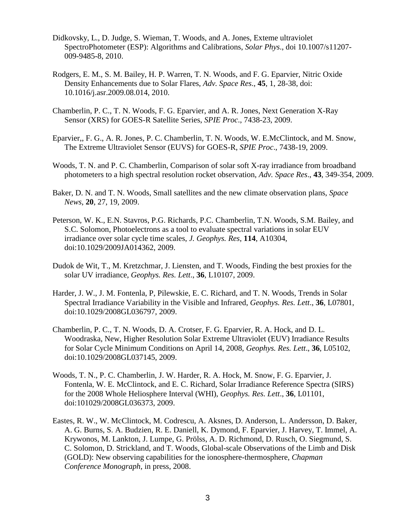- Didkovsky, L., D. Judge, S. Wieman, T. Woods, and A. Jones, Exteme ultraviolet SpectroPhotometer (ESP): Algorithms and Calibrations, *Solar Phys*., doi 10.1007/s11207- 009-9485-8, 2010.
- Rodgers, E. M., S. M. Bailey, H. P. Warren, T. N. Woods, and F. G. Eparvier, Nitric Oxide Density Enhancements due to Solar Flares, *Adv. Space Res*., **45**, 1, 28-38, doi: 10.1016/j.asr.2009.08.014, 2010.
- Chamberlin, P. C., T. N. Woods, F. G. Eparvier, and A. R. Jones, Next Generation X-Ray Sensor (XRS) for GOES-R Satellite Series, *SPIE Proc*., 7438-23, 2009.
- Eparvier,, F. G., A. R. Jones, P. C. Chamberlin, T. N. Woods, W. E.McClintock, and M. Snow, The Extreme Ultraviolet Sensor (EUVS) for GOES-R, *SPIE Proc*., 7438-19, 2009.
- Woods, T. N. and P. C. Chamberlin, Comparison of solar soft X-ray irradiance from broadband photometers to a high spectral resolution rocket observation, *Adv. Space Res*., **43**, 349-354, 2009.
- Baker, D. N. and T. N. Woods, Small satellites and the new climate observation plans, *Space News*, **20**, 27, 19, 2009.
- Peterson, W. K., E.N. Stavros, P.G. Richards, P.C. Chamberlin, T.N. Woods, S.M. Bailey, and S.C. Solomon, Photoelectrons as a tool to evaluate spectral variations in solar EUV irradiance over solar cycle time scales, *J. Geophys. Res*, **114**, A10304, doi:10.1029/2009JA014362, 2009.
- Dudok de Wit, T., M. Kretzchmar, J. Liensten, and T. Woods, Finding the best proxies for the solar UV irradiance, *Geophys. Res. Lett*., **36**, L10107, 2009.
- Harder, J. W., J. M. Fontenla, P, Pilewskie, E. C. Richard, and T. N. Woods, Trends in Solar Spectral Irradiance Variability in the Visible and Infrared, *Geophys. Res. Lett*., **36**, L07801, doi:10.1029/2008GL036797, 2009.
- Chamberlin, P. C., T. N. Woods, D. A. Crotser, F. G. Eparvier, R. A. Hock, and D. L. Woodraska, New, Higher Resolution Solar Extreme Ultraviolet (EUV) Irradiance Results for Solar Cycle Minimum Conditions on April 14, 2008, *Geophys. Res. Lett*., **36**, L05102, doi:10.1029/2008GL037145, 2009.
- Woods, T. N., P. C. Chamberlin, J. W. Harder, R. A. Hock, M. Snow, F. G. Eparvier, J. Fontenla, W. E. McClintock, and E. C. Richard, Solar Irradiance Reference Spectra (SIRS) for the 2008 Whole Heliosphere Interval (WHI), *Geophys. Res. Lett*., **36**, L01101, doi:101029/2008GL036373, 2009.
- Eastes, R. W., W. McClintock, M. Codrescu, A. Aksnes, D. Anderson, L. Andersson, D. Baker, A. G. Burns, S. A. Budzien, R. E. Daniell, K. Dymond, F. Eparvier, J. Harvey, T. Immel, A. Krywonos, M. Lankton, J. Lumpe, G. Prölss, A. D. Richmond, D. Rusch, O. Siegmund, S. C. Solomon, D. Strickland, and T. Woods, Global-scale Observations of the Limb and Disk (GOLD): New observing capabilities for the ionosphere-thermosphere, *Chapman Conference Monograph*, in press, 2008.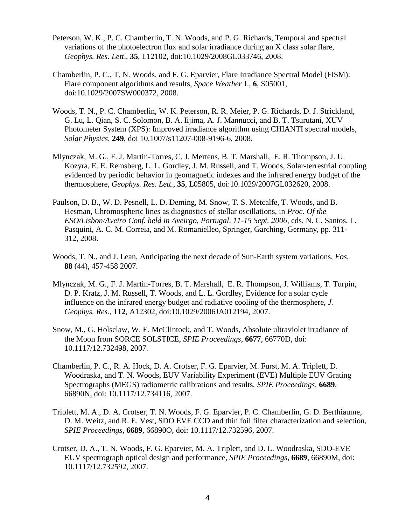- Peterson, W. K., P. C. Chamberlin, T. N. Woods, and P. G. Richards, Temporal and spectral variations of the photoelectron flux and solar irradiance during an X class solar flare, *Geophys. Res. Lett*., **35**, L12102, doi:10.1029/2008GL033746, 2008.
- Chamberlin, P. C., T. N. Woods, and F. G. Eparvier, Flare Irradiance Spectral Model (FISM): Flare component algorithms and results, *Space Weather* J., **6**, S05001, doi:10.1029/2007SW000372, 2008.
- Woods, T. N., P. C. Chamberlin, W. K. Peterson, R. R. Meier, P. G. Richards, D. J. Strickland, G. Lu, L. Qian, S. C. Solomon, B. A. Iijima, A. J. Mannucci, and B. T. Tsurutani, XUV Photometer System (XPS): Improved irradiance algorithm using CHIANTI spectral models, *Solar Physics*, **249**, doi 10.1007/s11207-008-9196-6, 2008.
- Mlynczak, M. G., F. J. Martin-Torres, C. J. Mertens, B. T. Marshall, E. R. Thompson, J. U. Kozyra, E. E. Remsberg, L. L. Gordley, J. M. Russell, and T. Woods, Solar-terrestrial coupling evidenced by periodic behavior in geomagnetic indexes and the infrared energy budget of the thermosphere, *Geophys. Res. Lett.*, **35**, L05805, doi:10.1029/2007GL032620, 2008.
- Paulson, D. B., W. D. Pesnell, L. D. Deming, M. Snow, T. S. Metcalfe, T. Woods, and B. Hesman, Chromospheric lines as diagnostics of stellar oscillations, in *Proc. Of the ESO/Lisbon/Aveiro Conf. held in Aveirgo, Portugal, 11-15 Sept. 2006*, eds. N. C. Santos, L. Pasquini, A. C. M. Correia, and M. Romanielleo, Springer, Garching, Germany, pp. 311- 312, 2008.
- Woods, T. N., and J. Lean, Anticipating the next decade of Sun-Earth system variations, *Eos*, **88** (44), 457-458 2007.
- Mlynczak, M. G., F. J. Martin-Torres, B. T. Marshall, E. R. Thompson, J. Williams, T. Turpin, D. P. Kratz, J. M. Russell, T. Woods, and L. L. Gordley, Evidence for a solar cycle influence on the infrared energy budget and radiative cooling of the thermosphere, *J. Geophys. Res.*, **112**, A12302, doi:10.1029/2006JA012194, 2007.
- Snow, M., G. Holsclaw, W. E. McClintock, and T. Woods, Absolute ultraviolet irradiance of the Moon from SORCE SOLSTICE, *SPIE Proceedings*, **6677**, 66770D, doi: 10.1117/12.732498, 2007.
- Chamberlin, P. C., R. A. Hock, D. A. Crotser, F. G. Eparvier, M. Furst, M. A. Triplett, D. Woodraska, and T. N. Woods, EUV Variability Experiment (EVE) Multiple EUV Grating Spectrographs (MEGS) radiometric calibrations and results, *SPIE Proceedings*, **6689**, 66890N, doi: 10.1117/12.734116, 2007.
- Triplett, M. A., D. A. Crotser, T. N. Woods, F. G. Eparvier, P. C. Chamberlin, G. D. Berthiaume, D. M. Weitz, and R. E. Vest, SDO EVE CCD and thin foil filter characterization and selection, *SPIE Proceedings*, **6689**, 66890O, doi: 10.1117/12.732596, 2007.
- Crotser, D. A., T. N. Woods, F. G. Eparvier, M. A. Triplett, and D. L. Woodraska, SDO-EVE EUV spectrograph optical design and performance, *SPIE Proceedings*, **6689**, 66890M, doi: 10.1117/12.732592, 2007.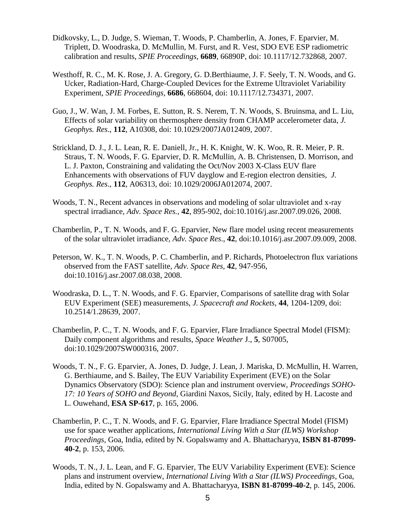- Didkovsky, L., D. Judge, S. Wieman, T. Woods, P. Chamberlin, A. Jones, F. Eparvier, M. Triplett, D. Woodraska, D. McMullin, M. Furst, and R. Vest, SDO EVE ESP radiometric calibration and results, *SPIE Proceedings*, **6689**, 66890P, doi: 10.1117/12.732868, 2007.
- Westhoff, R. C., M. K. Rose, J. A. Gregory, G. D.Berthiaume, J. F. Seely, T. N. Woods, and G. Ucker, Radiation-Hard, Charge-Coupled Devices for the Extreme Ultraviolet Variability Experiment, *SPIE Proceedings*, **6686**, 668604, doi: 10.1117/12.734371, 2007.
- Guo, J., W. Wan, J. M. Forbes, E. Sutton, R. S. Nerem, T. N. Woods, S. Bruinsma, and L. Liu, Effects of solar variability on thermosphere density from CHAMP accelerometer data, *J. Geophys. Res*., **112**, A10308, doi: 10.1029/2007JA012409, 2007.
- Strickland, D. J., J. L. Lean, R. E. Daniell, Jr., H. K. Knight, W. K. Woo, R. R. Meier, P. R. Straus, T. N. Woods, F. G. Eparvier, D. R. McMullin, A. B. Christensen, D. Morrison, and L. J. Paxton, Constraining and validating the Oct/Nov 2003 X-Class EUV flare Enhancements with observations of FUV dayglow and E-region electron densities, *J. Geophys. Res*., **112**, A06313, doi: 10.1029/2006JA012074, 2007.
- Woods, T. N., Recent advances in observations and modeling of solar ultraviolet and x-ray spectral irradiance, *Adv. Space Res.*, **42**, 895-902, doi:10.1016/j.asr.2007.09.026*,* 2008.
- Chamberlin, P., T. N. Woods, and F. G. Eparvier, New flare model using recent measurements of the solar ultraviolet irradiance*, Adv. Space Res*., **42**, doi:10.1016/j.asr.2007.09.009, 2008.
- Peterson, W. K., T. N. Woods, P. C. Chamberlin, and P. Richards, Photoelectron flux variations observed from the FAST satellite, *Adv. Space Res,* **42**, 947-956, doi:10.1016/j.asr.2007.08.038, 2008.
- Woodraska, D. L., T. N. Woods, and F. G. Eparvier, Comparisons of satellite drag with Solar EUV Experiment (SEE) measurements, *J. Spacecraft and Rockets*, **44**, 1204-1209, doi: 10.2514/1.28639, 2007.
- Chamberlin, P. C., T. N. Woods, and F. G. Eparvier, Flare Irradiance Spectral Model (FISM): Daily component algorithms and results, *Space Weather* J., **5**, S07005, doi:10.1029/2007SW000316, 2007.
- Woods, T. N., F. G. Eparvier, A. Jones, D. Judge, J. Lean, J. Mariska, D. McMullin, H. Warren, G. Berthiaume, and S. Bailey, The EUV Variability Experiment (EVE) on the Solar Dynamics Observatory (SDO): Science plan and instrument overview, *Proceedings SOHO-17: 10 Years of SOHO and Beyond*, Giardini Naxos, Sicily, Italy, edited by H. Lacoste and L. Ouwehand, **ESA SP-617**, p. 165, 2006.
- Chamberlin, P. C., T. N. Woods, and F. G. Eparvier, Flare Irradiance Spectral Model (FISM) use for space weather applications, *International Living With a Star (ILWS) Workshop Proceedings*, Goa, India, edited by N. Gopalswamy and A. Bhattacharyya, **ISBN 81-87099- 40-2**, p. 153, 2006.
- Woods, T. N., J. L. Lean, and F. G. Eparvier, The EUV Variability Experiment (EVE): Science plans and instrument overview, *International Living With a Star (ILWS) Proceedings*, Goa, India, edited by N. Gopalswamy and A. Bhattacharyya, **ISBN 81-87099-40-2**, p. 145, 2006.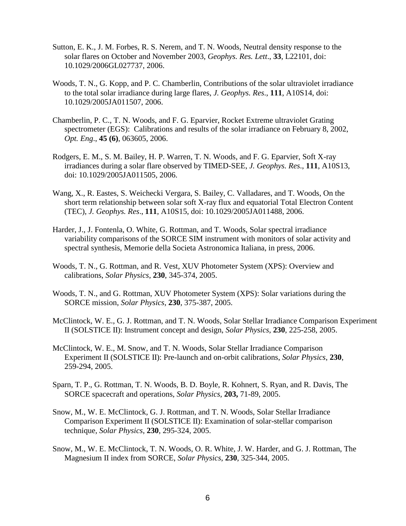- Sutton, E. K., J. M. Forbes, R. S. Nerem, and T. N. Woods, Neutral density response to the solar flares on October and November 2003, *Geophys. Res. Lett*., **33**, L22101, doi: 10.1029/2006GL027737, 2006.
- Woods, T. N., G. Kopp, and P. C. Chamberlin, Contributions of the solar ultraviolet irradiance to the total solar irradiance during large flares, *J. Geophys. Res*., **111**, A10S14, doi: 10.1029/2005JA011507, 2006.
- Chamberlin, P. C., T. N. Woods, and F. G. Eparvier, Rocket Extreme ultraviolet Grating spectrometer (EGS): Calibrations and results of the solar irradiance on February 8, 2002, *Opt. Eng*., **45 (6)**, 063605, 2006.
- Rodgers, E. M., S. M. Bailey, H. P. Warren, T. N. Woods, and F. G. Eparvier, Soft X-ray irradiances during a solar flare observed by TIMED-SEE, *J. Geophys. Res*., **111**, A10S13, doi: 10.1029/2005JA011505, 2006.
- Wang, X., R. Eastes, S. Weichecki Vergara, S. Bailey, C. Valladares, and T. Woods, On the short term relationship between solar soft X-ray flux and equatorial Total Electron Content (TEC), *J. Geophys. Res*., **111**, A10S15, doi: 10.1029/2005JA011488, 2006.
- Harder, J., J. Fontenla, O. White, G. Rottman, and T. Woods, Solar spectral irradiance variability comparisons of the SORCE SIM instrument with monitors of solar activity and spectral synthesis, Memorie della Societa Astronomica Italiana, in press, 2006.
- Woods, T. N., G. Rottman, and R. Vest, XUV Photometer System (XPS): Overview and calibrations, *Solar Physics*, **230**, 345-374, 2005.
- Woods, T. N., and G. Rottman, XUV Photometer System (XPS): Solar variations during the SORCE mission, *Solar Physics*, **230**, 375-387, 2005.
- McClintock, W. E., G. J. Rottman, and T. N. Woods, Solar Stellar Irradiance Comparison Experiment II (SOLSTICE II): Instrument concept and design, *Solar Physics*, **230**, 225-258, 2005.
- McClintock, W. E., M. Snow, and T. N. Woods, Solar Stellar Irradiance Comparison Experiment II (SOLSTICE II): Pre-launch and on-orbit calibrations, *Solar Physics*, **230**, 259-294, 2005.
- Sparn, T. P., G. Rottman, T. N. Woods, B. D. Boyle, R. Kohnert, S. Ryan, and R. Davis, The SORCE spacecraft and operations, *Solar Physics,* **203,** 71-89, 2005.
- Snow, M., W. E. McClintock, G. J. Rottman, and T. N. Woods, Solar Stellar Irradiance Comparison Experiment II (SOLSTICE II): Examination of solar-stellar comparison technique, *Solar Physics*, **230**, 295-324, 2005.
- Snow, M., W. E. McClintock, T. N. Woods, O. R. White, J. W. Harder, and G. J. Rottman, The Magnesium II index from SORCE, *Solar Physics*, **230**, 325-344, 2005.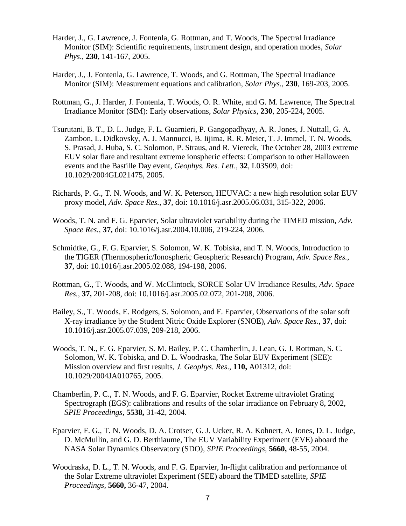- Harder, J., G. Lawrence, J. Fontenla, G. Rottman, and T. Woods, The Spectral Irradiance Monitor (SIM): Scientific requirements, instrument design, and operation modes, *Solar Phys*., **230**, 141-167, 2005.
- Harder, J., J. Fontenla, G. Lawrence, T. Woods, and G. Rottman, The Spectral Irradiance Monitor (SIM): Measurement equations and calibration, *Solar Phys*., **230**, 169-203, 2005.
- Rottman, G., J. Harder, J. Fontenla, T. Woods, O. R. White, and G. M. Lawrence, The Spectral Irradiance Monitor (SIM): Early observations, *Solar Physics*, **230**, 205-224, 2005.
- Tsurutani, B. T., D. L. Judge, F. L. Guarnieri, P. Gangopadhyay, A. R. Jones, J. Nuttall, G. A. Zambon, L. Didkovsky, A. J. Mannucci, B. Iijima, R. R. Meier, T. J. Immel, T. N. Woods, S. Prasad, J. Huba, S. C. Solomon, P. Straus, and R. Viereck, The October 28, 2003 extreme EUV solar flare and resultant extreme ionspheric effects: Comparison to other Halloween events and the Bastille Day event, *Geophys. Res. Lett*., **32**, L03S09, doi: 10.1029/2004GL021475, 2005.
- Richards, P. G., T. N. Woods, and W. K. Peterson, HEUVAC: a new high resolution solar EUV proxy model, *Adv. Space Res.*, **37**, doi: 10.1016/j.asr.2005.06.031, 315-322, 2006.
- Woods, T. N. and F. G. Eparvier, Solar ultraviolet variability during the TIMED mission, *Adv. Space Res.*, **37,** doi: 10.1016/j.asr.2004.10.006, 219-224, 2006.
- Schmidtke, G., F. G. Eparvier, S. Solomon, W. K. Tobiska, and T. N. Woods, Introduction to the TIGER (Thermospheric/Ionospheric Geospheric Research) Program, *Adv. Space Res.*, **37**, doi: 10.1016/j.asr.2005.02.088, 194-198, 2006.
- Rottman, G., T. Woods, and W. McClintock, SORCE Solar UV Irradiance Results, *Adv. Space Res.*, **37,** 201-208, doi: 10.1016/j.asr.2005.02.072, 201-208, 2006.
- Bailey, S., T. Woods, E. Rodgers, S. Solomon, and F. Eparvier, Observations of the solar soft X-ray irradiance by the Student Nitric Oxide Explorer (SNOE), *Adv. Space Res.*, **37**, doi: 10.1016/j.asr.2005.07.039, 209-218, 2006.
- Woods, T. N., F. G. Eparvier, S. M. Bailey, P. C. Chamberlin, J. Lean, G. J. Rottman, S. C. Solomon, W. K. Tobiska, and D. L. Woodraska, The Solar EUV Experiment (SEE): Mission overview and first results, *J. Geophys. Res*., **110,** A01312, doi: 10.1029/2004JA010765, 2005.
- Chamberlin, P. C., T. N. Woods, and F. G. Eparvier, Rocket Extreme ultraviolet Grating Spectrograph (EGS): calibrations and results of the solar irradiance on February 8, 2002, *SPIE Proceedings,* **5538,** 31-42, 2004.
- Eparvier, F. G., T. N. Woods, D. A. Crotser, G. J. Ucker, R. A. Kohnert, A. Jones, D. L. Judge, D. McMullin, and G. D. Berthiaume, The EUV Variability Experiment (EVE) aboard the NASA Solar Dynamics Observatory (SDO), *SPIE Proceedings*, **5660,** 48-55, 2004.
- Woodraska, D. L., T. N. Woods, and F. G. Eparvier, In-flight calibration and performance of the Solar Extreme ultraviolet Experiment (SEE) aboard the TIMED satellite, *SPIE Proceedings,* **5660,** 36-47, 2004.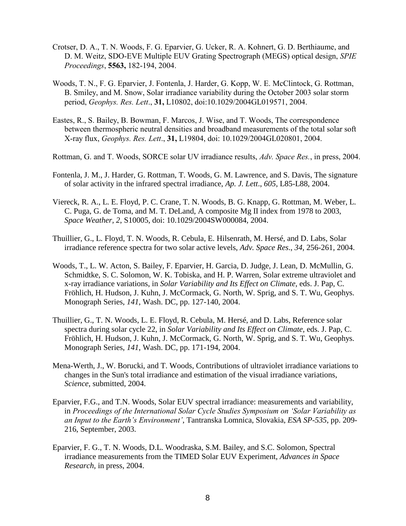- Crotser, D. A., T. N. Woods, F. G. Eparvier, G. Ucker, R. A. Kohnert, G. D. Berthiaume, and D. M. Weitz, SDO-EVE Multiple EUV Grating Spectrograph (MEGS) optical design, *SPIE Proceedings*, **5563,** 182-194, 2004.
- Woods, T. N., F. G. Eparvier, J. Fontenla, J. Harder, G. Kopp, W. E. McClintock, G. Rottman, B. Smiley, and M. Snow, Solar irradiance variability during the October 2003 solar storm period, *Geophys. Res. Lett*., **31,** L10802, doi:10.1029/2004GL019571, 2004.
- Eastes, R., S. Bailey, B. Bowman, F. Marcos, J. Wise, and T. Woods, The correspondence between thermospheric neutral densities and broadband measurements of the total solar soft X-ray flux, *Geophys. Res. Lett*., **31,** L19804, doi: 10.1029/2004GL020801, 2004.
- Rottman, G. and T. Woods, SORCE solar UV irradiance results, *Adv. Space Res.*, in press, 2004.
- Fontenla, J. M., J. Harder, G. Rottman, T. Woods, G. M. Lawrence, and S. Davis, The signature of solar activity in the infrared spectral irradiance, *Ap. J. Lett*., *605*, L85-L88, 2004.
- Viereck, R. A., L. E. Floyd, P. C. Crane, T. N. Woods, B. G. Knapp, G. Rottman, M. Weber, L. C. Puga, G. de Toma, and M. T. DeLand, A composite Mg II index from 1978 to 2003, *Space Weather, 2*, S10005, doi: 10.1029/2004SW000084, 2004.
- Thuillier, G., L. Floyd, T. N. Woods, R. Cebula, E. Hilsenrath, M. Hersé, and D. Labs, Solar irradiance reference spectra for two solar active levels, *Adv. Space Res*., *34*, 256-261, 2004.
- Woods, T., L. W. Acton, S. Bailey, F. Eparvier, H. Garcia, D. Judge, J. Lean, D. McMullin, G. Schmidtke, S. C. Solomon, W. K. Tobiska, and H. P. Warren, Solar extreme ultraviolet and x-ray irradiance variations, in *Solar Variability and Its Effect on Climate,* eds. J. Pap, C. Fröhlich, H. Hudson, J. Kuhn, J. McCormack, G. North, W. Sprig, and S. T. Wu, Geophys. Monograph Series, *141*, Wash. DC, pp. 127-140, 2004.
- Thuillier, G., T. N. Woods, L. E. Floyd, R. Cebula, M. Hersé, and D. Labs, Reference solar spectra during solar cycle 22, in *Solar Variability and Its Effect on Climate,* eds. J. Pap, C. Fröhlich, H. Hudson, J. Kuhn, J. McCormack, G. North, W. Sprig, and S. T. Wu, Geophys. Monograph Series, *141*, Wash. DC, pp. 171-194, 2004.
- Mena-Werth, J., W. Borucki, and T. Woods, Contributions of ultraviolet irradiance variations to changes in the Sun's total irradiance and estimation of the visual irradiance variations, *Science*, submitted, 2004.
- Eparvier, F.G., and T.N. Woods, Solar EUV spectral irradiance: measurements and variability, in *Proceedings of the International Solar Cycle Studies Symposium on 'Solar Variability as an Input to the Earth's Environment'*, Tantranska Lomnica, Slovakia, *ESA SP-535*, pp. 209- 216, September, 2003.
- Eparvier, F. G., T. N. Woods, D.L. Woodraska, S.M. Bailey, and S.C. Solomon, Spectral irradiance measurements from the TIMED Solar EUV Experiment, *Advances in Space Research*, in press, 2004.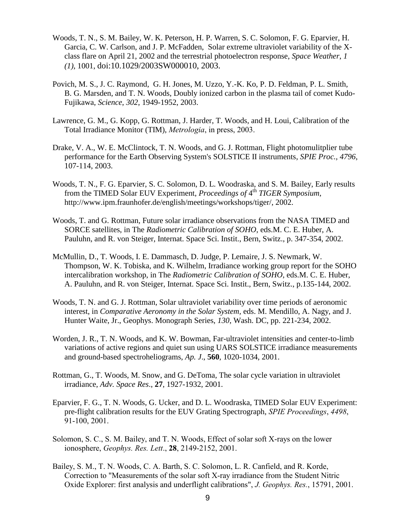- Woods, T. N., S. M. Bailey, W. K. Peterson, H. P. Warren, S. C. Solomon, F. G. Eparvier, H. Garcia, C. W. Carlson, and J. P. McFadden, Solar extreme ultraviolet variability of the Xclass flare on April 21, 2002 and the terrestrial photoelectron response, *Space Weather*, *1 (1)*, 1001, doi:10.1029/2003SW000010, 2003.
- Povich, M. S., J. C. Raymond, G. H. Jones, M. Uzzo, Y.-K. Ko, P. D. Feldman, P. L. Smith, B. G. Marsden, and T. N. Woods, Doubly ionized carbon in the plasma tail of comet Kudo-Fujikawa, *Science*, *302*, 1949-1952, 2003.
- Lawrence, G. M., G. Kopp, G. Rottman, J. Harder, T. Woods, and H. Loui, Calibration of the Total Irradiance Monitor (TIM), *Metrologia*, in press, 2003.
- Drake, V. A., W. E. McClintock, T. N. Woods, and G. J. Rottman, Flight photomulitplier tube performance for the Earth Observing System's SOLSTICE II instruments, *SPIE Proc., 4796*, 107-114, 2003.
- Woods, T. N., F. G. Eparvier, S. C. Solomon, D. L. Woodraska, and S. M. Bailey, Early results from the TIMED Solar EUV Experiment, *Proceedings of* 4 th *TIGER Symposium*, http://www.ipm.fraunhofer.de/english/meetings/workshops/tiger/, 2002.
- Woods, T. and G. Rottman, Future solar irradiance observations from the NASA TIMED and SORCE satellites, in The *Radiometric Calibration of SOHO*, eds.M. C. E. Huber, A. Pauluhn, and R. von Steiger, Internat. Space Sci. Instit., Bern, Switz., p. 347-354, 2002.
- McMullin, D., T. Woods, I. E. Dammasch, D. Judge, P. Lemaire, J. S. Newmark, W. Thompson, W. K. Tobiska, and K. Wilhelm, Irradiance working group report for the SOHO intercalibration workshop, in The *Radiometric Calibration of SOHO*, eds.M. C. E. Huber, A. Pauluhn, and R. von Steiger, Internat. Space Sci. Instit., Bern, Switz., p.135-144, 2002.
- Woods, T. N. and G. J. Rottman, Solar ultraviolet variability over time periods of aeronomic interest, in *Comparative Aeronomy in the Solar System,* eds. M. Mendillo, A. Nagy, and J. Hunter Waite, Jr., Geophys. Monograph Series, *130*, Wash. DC, pp. 221-234, 2002.
- Worden, J. R., T. N. Woods, and K. W. Bowman, Far-ultraviolet intensities and center-to-limb variations of active regions and quiet sun using UARS SOLSTICE irradiance measurements and ground-based spectroheliograms, *Ap. J*., **560**, 1020-1034, 2001.
- Rottman, G., T. Woods, M. Snow, and G. DeToma, The solar cycle variation in ultraviolet irradiance, *Adv. Space Res*., **27**, 1927-1932, 2001.
- Eparvier, F. G., T. N. Woods, G. Ucker, and D. L. Woodraska, TIMED Solar EUV Experiment: pre-flight calibration results for the EUV Grating Spectrograph, *SPIE Proceedings*, *4498*, 91-100, 2001.
- Solomon, S. C., S. M. Bailey, and T. N. Woods, Effect of solar soft X-rays on the lower ionosphere, *Geophys. Res. Lett*., **28**, 2149-2152, 2001.
- Bailey, S. M., T. N. Woods, C. A. Barth, S. C. Solomon, L. R. Canfield, and R. Korde, Correction to "Measurements of the solar soft X-ray irradiance from the Student Nitric Oxide Explorer: first analysis and underflight calibrations", *J. Geophys. Res.*, 15791, 2001.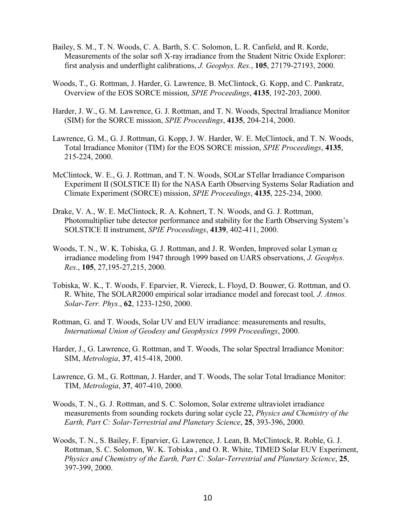- Bailey, S. M., T. N. Woods, C. A. Barth, S. C. Solomon, L. R. Canfield, and R. Korde, Measurements of the solar soft X-ray irradiance from the Student Nitric Oxide Explorer: first analysis and underflight calibrations, *J. Geophys. Res.*, **105**, 27179-27193, 2000.
- Woods, T., G. Rottman, J. Harder, G. Lawrence, B. McClintock, G. Kopp, and C. Pankratz, Overview of the EOS SORCE mission, *SPIE Proceedings*, **4135**, 192-203, 2000.
- Harder, J. W., G. M. Lawrence, G. J. Rottman, and T. N. Woods, Spectral Irradiance Monitor (SIM) for the SORCE mission, *SPIE Proceedings*, **4135**, 204-214, 2000.
- Lawrence, G. M., G. J. Rottman, G. Kopp, J. W. Harder, W. E. McClintock, and T. N. Woods, Total Irradiance Monitor (TIM) for the EOS SORCE mission, *SPIE Proceedings*, **4135**, 215-224, 2000.
- McClintock, W. E., G. J. Rottman, and T. N. Woods, SOLar STellar Irradiance Comparison Experiment II (SOLSTICE II) for the NASA Earth Observing Systems Solar Radiation and Climate Experiment (SORCE) mission, *SPIE Proceedings*, **4135**, 225-234, 2000.
- Drake, V. A., W. E. McClintock, R. A. Kohnert, T. N. Woods, and G. J. Rottman, Photomultiplier tube detector performance and stability for the Earth Observing System's SOLSTICE II instrument, *SPIE Proceedings*, **4139**, 402-411, 2000.
- Woods, T. N., W. K. Tobiska, G. J. Rottman, and J. R. Worden, Improved solar Lyman  $\alpha$ irradiance modeling from 1947 through 1999 based on UARS observations, *J. Geophys. Res*., **105**, 27,195-27,215, 2000.
- Tobiska, W. K., T. Woods, F. Eparvier, R. Viereck, L. Floyd, D. Bouwer, G. Rottman, and O. R. White, The SOLAR2000 empirical solar irradiance model and forecast tool*, J. Atmos. Solar-Terr. Phys*., **62**, 1233-1250, 2000.
- Rottman, G. and T. Woods, Solar UV and EUV irradiance: measurements and results, *International Union of Geodesy and Geophysics 1999 Proceedings*, 2000.
- Harder, J., G. Lawrence, G. Rottman, and T. Woods, The solar Spectral Irradiance Monitor: SIM, *Metrologia*, **37**, 415-418, 2000.
- Lawrence, G. M., G. Rottman, J. Harder, and T. Woods, The solar Total Irradiance Monitor: TIM, *Metrologia*, **37**, 407-410, 2000.
- Woods, T. N., G. J. Rottman, and S. C. Solomon, Solar extreme ultraviolet irradiance measurements from sounding rockets during solar cycle 22, *Physics and Chemistry of the Earth, Part C: Solar-Terrestrial and Planetary Science*, **25**, 393-396, 2000.
- Woods, T. N., S. Bailey, F. Eparvier, G. Lawrence, J. Lean, B. McClintock, R. Roble, G. J. Rottman, S. C. Solomon, W. K. Tobiska , and O. R. White, TIMED Solar EUV Experiment, *Physics and Chemistry of the Earth, Part C: Solar-Terrestrial and Planetary Science*, **25**, 397-399, 2000.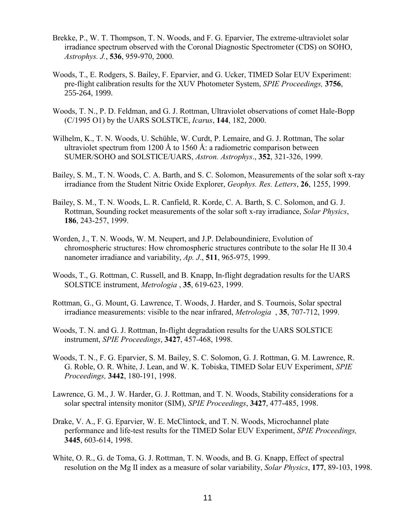- Brekke, P., W. T. Thompson, T. N. Woods, and F. G. Eparvier, The extreme-ultraviolet solar irradiance spectrum observed with the Coronal Diagnostic Spectrometer (CDS) on SOHO, *Astrophys. J.*, **536**, 959-970, 2000.
- Woods, T., E. Rodgers, S. Bailey, F. Eparvier, and G. Ucker, TIMED Solar EUV Experiment: pre-flight calibration results for the XUV Photometer System, *SPIE Proceedings,* **3756**, 255-264, 1999.
- Woods, T. N., P. D. Feldman, and G. J. Rottman, Ultraviolet observations of comet Hale-Bopp (C/1995 O1) by the UARS SOLSTICE, *Icarus*, **144**, 182, 2000.
- Wilhelm, K., T. N. Woods, U. Schühle, W. Curdt, P. Lemaire, and G. J. Rottman, The solar ultraviolet spectrum from 1200 Å to 1560 Å: a radiometric comparison between SUMER/SOHO and SOLSTICE/UARS, *Astron. Astrophys*., **352**, 321-326, 1999.
- Bailey, S. M., T. N. Woods, C. A. Barth, and S. C. Solomon, Measurements of the solar soft x-ray irradiance from the Student Nitric Oxide Explorer, *Geophys. Res. Letters*, **26**, 1255, 1999.
- Bailey, S. M., T. N. Woods, L. R. Canfield, R. Korde, C. A. Barth, S. C. Solomon, and G. J. Rottman, Sounding rocket measurements of the solar soft x-ray irradiance, *Solar Physics*, **186**, 243-257, 1999.
- Worden, J., T. N. Woods, W. M. Neupert, and J.P. Delaboundiniere, Evolution of chromospheric structures: How chromospheric structures contribute to the solar He II 30.4 nanometer irradiance and variability, *Ap. J*., **511**, 965-975, 1999.
- Woods, T., G. Rottman, C. Russell, and B. Knapp, In-flight degradation results for the UARS SOLSTICE instrument, *Metrologia* , **35**, 619-623, 1999.
- Rottman, G., G. Mount, G. Lawrence, T. Woods, J. Harder, and S. Tournois, Solar spectral irradiance measurements: visible to the near infrared, *Metrologia* , **35**, 707-712, 1999.
- Woods, T. N. and G. J. Rottman, In-flight degradation results for the UARS SOLSTICE instrument, *SPIE Proceedings*, **3427**, 457-468, 1998.
- Woods, T. N., F. G. Eparvier, S. M. Bailey, S. C. Solomon, G. J. Rottman, G. M. Lawrence, R. G. Roble, O. R. White, J. Lean, and W. K. Tobiska, TIMED Solar EUV Experiment, *SPIE Proceedings,* **3442**, 180-191, 1998.
- Lawrence, G. M., J. W. Harder, G. J. Rottman, and T. N. Woods, Stability considerations for a solar spectral intensity monitor (SIM), *SPIE Proceedings*, **3427**, 477-485, 1998.
- Drake, V. A., F. G. Eparvier, W. E. McClintock, and T. N. Woods, Microchannel plate performance and life-test results for the TIMED Solar EUV Experiment, *SPIE Proceedings,* **3445**, 603-614, 1998.
- White, O. R., G. de Toma, G. J. Rottman, T. N. Woods, and B. G. Knapp, Effect of spectral resolution on the Mg II index as a measure of solar variability, *Solar Physics*, **177**, 89-103, 1998.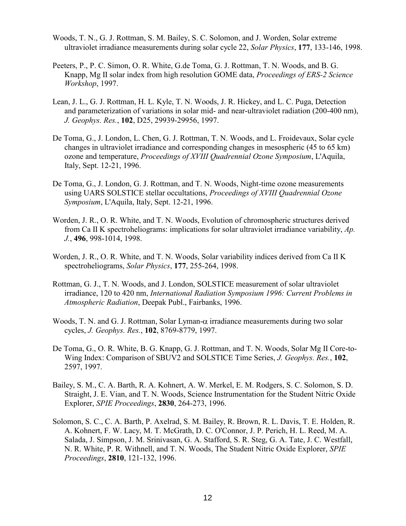- Woods, T. N., G. J. Rottman, S. M. Bailey, S. C. Solomon, and J. Worden, Solar extreme ultraviolet irradiance measurements during solar cycle 22, *Solar Physics*, **177**, 133-146, 1998.
- Peeters, P., P. C. Simon, O. R. White, G.de Toma, G. J. Rottman, T. N. Woods, and B. G. Knapp, Mg II solar index from high resolution GOME data, *Proceedings of ERS-2 Science Workshop*, 1997.
- Lean, J. L., G. J. Rottman, H. L. Kyle, T. N. Woods, J. R. Hickey, and L. C. Puga, Detection and parameterization of variations in solar mid- and near-ultraviolet radiation (200-400 nm), *J. Geophys. Res.*, **102**, D25, 29939-29956, 1997.
- De Toma, G., J. London, L. Chen, G. J. Rottman, T. N. Woods, and L. Froidevaux, Solar cycle changes in ultraviolet irradiance and corresponding changes in mesospheric (45 to 65 km) ozone and temperature, *Proceedings of XVIII Quadrennial Ozone Symposium*, L'Aquila, Italy, Sept. 12-21, 1996.
- De Toma, G., J. London, G. J. Rottman, and T. N. Woods, Night-time ozone measurements using UARS SOLSTICE stellar occultations, *Proceedings of XVIII Quadrennial Ozone Symposium*, L'Aquila, Italy, Sept. 12-21, 1996.
- Worden, J. R., O. R. White, and T. N. Woods, Evolution of chromospheric structures derived from Ca II K spectroheliograms: implications for solar ultraviolet irradiance variability, *Ap. J.*, **496**, 998-1014, 1998.
- Worden, J. R., O. R. White, and T. N. Woods, Solar variability indices derived from Ca II K spectroheliograms, *Solar Physics*, **177**, 255-264, 1998.
- Rottman, G. J., T. N. Woods, and J. London, SOLSTICE measurement of solar ultraviolet irradiance, 120 to 420 nm, *International Radiation Symposium 1996: Current Problems in Atmospheric Radiation*, Deepak Publ., Fairbanks, 1996.
- Woods, T. N. and G. J. Rottman, Solar Lyman- $\alpha$  irradiance measurements during two solar cycles, *J. Geophys. Res.*, **102**, 8769-8779, 1997.
- De Toma, G., O. R. White, B. G. Knapp, G. J. Rottman, and T. N. Woods, Solar Mg II Core-to-Wing Index: Comparison of SBUV2 and SOLSTICE Time Series, *J. Geophys. Res.*, **102**, 2597, 1997.
- Bailey, S. M., C. A. Barth, R. A. Kohnert, A. W. Merkel, E. M. Rodgers, S. C. Solomon, S. D. Straight, J. E. Vian, and T. N. Woods, Science Instrumentation for the Student Nitric Oxide Explorer, *SPIE Proceedings*, **2830**, 264-273, 1996.
- Solomon, S. C., C. A. Barth, P. Axelrad, S. M. Bailey, R. Brown, R. L. Davis, T. E. Holden, R. A. Kohnert, F. W. Lacy, M. T. McGrath, D. C. O'Connor, J. P. Perich, H. L. Reed, M. A. Salada, J. Simpson, J. M. Srinivasan, G. A. Stafford, S. R. Steg, G. A. Tate, J. C. Westfall, N. R. White, P. R. Withnell, and T. N. Woods, The Student Nitric Oxide Explorer, *SPIE Proceedings*, **2810**, 121-132, 1996.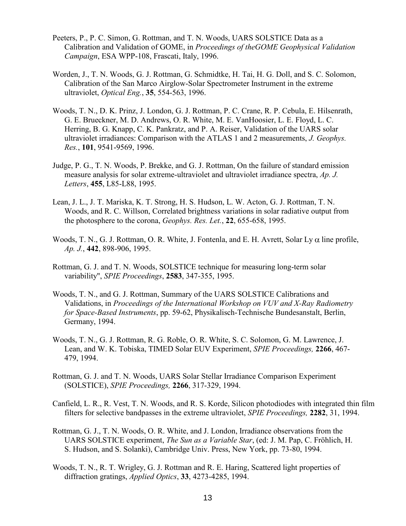- Peeters, P., P. C. Simon, G. Rottman, and T. N. Woods, UARS SOLSTICE Data as a Calibration and Validation of GOME, in *Proceedings of theGOME Geophysical Validation Campaign*, ESA WPP-108, Frascati, Italy, 1996.
- Worden, J., T. N. Woods, G. J. Rottman, G. Schmidtke, H. Tai, H. G. Doll, and S. C. Solomon, Calibration of the San Marco Airglow-Solar Spectrometer Instrument in the extreme ultraviolet, *Optical Eng.*, **35**, 554-563, 1996.
- Woods, T. N., D. K. Prinz, J. London, G. J. Rottman, P. C. Crane, R. P. Cebula, E. Hilsenrath, G. E. Brueckner, M. D. Andrews, O. R. White, M. E. VanHoosier, L. E. Floyd, L. C. Herring, B. G. Knapp, C. K. Pankratz, and P. A. Reiser, Validation of the UARS solar ultraviolet irradiances: Comparison with the ATLAS 1 and 2 measurements, *J. Geophys. Res.*, **101**, 9541-9569, 1996.
- Judge, P. G., T. N. Woods, P. Brekke, and G. J. Rottman, On the failure of standard emission measure analysis for solar extreme-ultraviolet and ultraviolet irradiance spectra, *Ap. J. Letters*, **455**, L85-L88, 1995.
- Lean, J. L., J. T. Mariska, K. T. Strong, H. S. Hudson, L. W. Acton, G. J. Rottman, T. N. Woods, and R. C. Willson, Correlated brightness variations in solar radiative output from the photosphere to the corona, *Geophys. Res. Let.*, **22**, 655-658, 1995.
- Woods, T. N., G. J. Rottman, O. R. White, J. Fontenla, and E. H. Avrett, Solar Ly  $\alpha$  line profile, *Ap. J.*, **442**, 898-906, 1995.
- Rottman, G. J. and T. N. Woods, SOLSTICE technique for measuring long-term solar variability", *SPIE Proceedings*, **2583**, 347-355, 1995.
- Woods, T. N., and G. J. Rottman, Summary of the UARS SOLSTICE Calibrations and Validations, in *Proceedings of the International Workshop on VUV and X-Ray Radiometry for Space-Based Instruments*, pp. 59-62, Physikalisch-Technische Bundesanstalt, Berlin, Germany, 1994.
- Woods, T. N., G. J. Rottman, R. G. Roble, O. R. White, S. C. Solomon, G. M. Lawrence, J. Lean, and W. K. Tobiska, TIMED Solar EUV Experiment, *SPIE Proceedings,* **2266**, 467- 479, 1994.
- Rottman, G. J. and T. N. Woods, UARS Solar Stellar Irradiance Comparison Experiment (SOLSTICE), *SPIE Proceedings,* **2266**, 317-329, 1994.
- Canfield, L. R., R. Vest, T. N. Woods, and R. S. Korde, Silicon photodiodes with integrated thin film filters for selective bandpasses in the extreme ultraviolet, *SPIE Proceedings,* **2282**, 31, 1994.
- Rottman, G. J., T. N. Woods, O. R. White, and J. London, Irradiance observations from the UARS SOLSTICE experiment, *The Sun as a Variable Star*, (ed: J. M. Pap, C. Fröhlich, H. S. Hudson, and S. Solanki), Cambridge Univ. Press, New York, pp. 73-80, 1994.
- Woods, T. N., R. T. Wrigley, G. J. Rottman and R. E. Haring, Scattered light properties of diffraction gratings, *Applied Optics*, **33**, 4273-4285, 1994.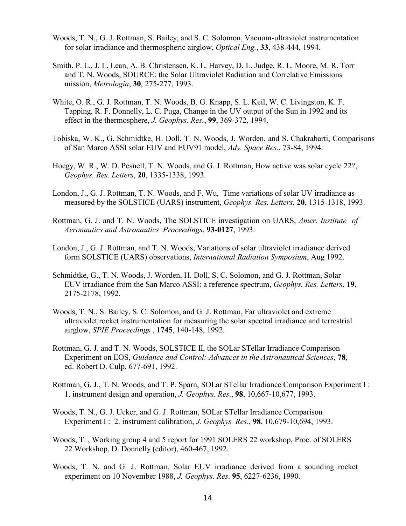- Woods, T. N., G. J. Rottman, S. Bailey, and S. C. Solomon, Vacuum-ultraviolet instrumentation for solar irradiance and thermospheric airglow, *Optical Eng.*, **33**, 438-444, 1994.
- Smith, P. L., J. L. Lean, A. B. Christensen, K. L. Harvey, D. L. Judge, R. L. Moore, M. R. Torr and T. N. Woods, SOURCE: the Solar Ultraviolet Radiation and Correlative Emissions mission, *Metrologia*, **30**, 275-277, 1993.
- White, O. R., G. J. Rottman, T. N. Woods, B. G. Knapp, S. L. Keil, W. C. Livingston, K. F. Tapping, R. F. Donnelly, L. C. Puga, Change in the UV output of the Sun in 1992 and its effect in the thermosphere, *J. Geophys. Res.*, **99**, 369-372, 1994.
- Tobiska, W. K., G. Schmidtke, H. Doll, T. N. Woods, J. Worden, and S. Chakrabarti, Comparisons of San Marco ASSI solar EUV and EUV91 model, *Adv. Space Res.*, 73-84, 1994.
- Hoegy, W. R., W. D. Pesnell, T. N. Woods, and G. J. Rottman, How active was solar cycle 22?, *Geophys. Res. Letters*, **20**, 1335-1338, 1993.
- London, J., G. J. Rottman, T. N. Woods, and F. Wu, Time variations of solar UV irradiance as measured by the SOLSTICE (UARS) instrument, *Geophys. Res. Letters*, **20**, 1315-1318, 1993.
- Rottman, G. J. and T. N. Woods, The SOLSTICE investigation on UARS, *Amer. Institute of Aeronautics and Astronautics Proceedings*, **93-0127**, 1993.
- London, J., G. J. Rottman, and T. N. Woods, Variations of solar ultraviolet irradiance derived form SOLSTICE (UARS) observations, *International Radiation Symposium*, Aug 1992.
- Schmidtke, G., T. N. Woods, J. Worden, H. Doll, S. C. Solomon, and G. J. Rottman, Solar EUV irradiance from the San Marco ASSI: a reference spectrum, *Geophys. Res. Letters*, **19**, 2175-2178, 1992.
- Woods, T. N., S. Bailey, S. C. Solomon, and G. J. Rottman, Far ultraviolet and extreme ultraviolet rocket instrumentation for measuring the solar spectral irradiance and terrestrial airglow, *SPIE Proceedings* , **1745**, 140-148, 1992.
- Rottman, G. J. and T. N. Woods, SOLSTICE II, the SOLar STellar Irradiance Comparison Experiment on EOS, *Guidance and Control: Advances in the Astronautical Sciences*, **78**, ed. Robert D. Culp, 677-691, 1992.
- Rottman, G. J., T. N. Woods, and T. P. Sparn, SOLar STellar Irradiance Comparison Experiment I : 1. instrument design and operation, *J. Geophys. Res*., **98**, 10,667-10,677, 1993.
- Woods, T. N., G. J. Ucker, and G. J. Rottman, SOLar STellar Irradiance Comparison Experiment I : 2. instrument calibration, *J. Geophys. Res*., **98**, 10,679-10,694, 1993.
- Woods, T. , Working group 4 and 5 report for 1991 SOLERS 22 workshop, Proc. of SOLERS 22 Workshop, D. Donnelly (editor), 460-467, 1992.
- Woods, T. N. and G. J. Rottman, Solar EUV irradiance derived from a sounding rocket experiment on 10 November 1988, *J. Geophys. Res*. **95**, 6227-6236, 1990.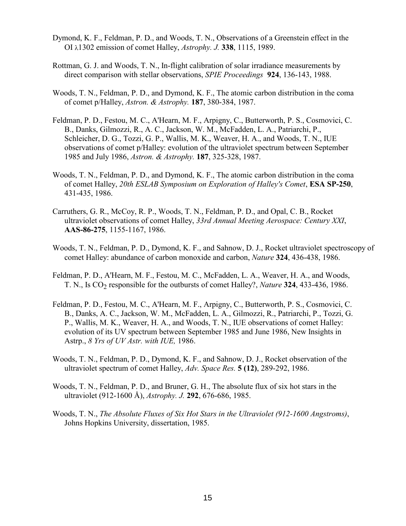- Dymond, K. F., Feldman, P. D., and Woods, T. N., Observations of a Greenstein effect in the OI 1302 emission of comet Halley, *Astrophy. J.* **338**, 1115, 1989.
- Rottman, G. J. and Woods, T. N., In-flight calibration of solar irradiance measurements by direct comparison with stellar observations, *SPIE Proceedings* **924**, 136-143, 1988.
- Woods, T. N., Feldman, P. D., and Dymond, K. F., The atomic carbon distribution in the coma of comet p/Halley, *Astron. & Astrophy.* **187**, 380-384, 1987.
- Feldman, P. D., Festou, M. C., A'Hearn, M. F., Arpigny, C., Butterworth, P. S., Cosmovici, C. B., Danks, Gilmozzi, R., A. C., Jackson, W. M., McFadden, L. A., Patriarchi, P., Schleicher, D. G., Tozzi, G. P., Wallis, M. K., Weaver, H. A., and Woods, T. N., IUE observations of comet p/Halley: evolution of the ultraviolet spectrum between September 1985 and July 1986, *Astron. & Astrophy.* **187**, 325-328, 1987.
- Woods, T. N., Feldman, P. D., and Dymond, K. F., The atomic carbon distribution in the coma of comet Halley, *20th ESLAB Symposium on Exploration of Halley's Comet*, **ESA SP-250**, 431-435, 1986.
- Carruthers, G. R., McCoy, R. P., Woods, T. N., Feldman, P. D., and Opal, C. B., Rocket ultraviolet observations of comet Halley, *33rd Annual Meeting Aerospace: Century XXI*, **AAS-86-275**, 1155-1167, 1986.
- Woods, T. N., Feldman, P. D., Dymond, K. F., and Sahnow, D. J., Rocket ultraviolet spectroscopy of comet Halley: abundance of carbon monoxide and carbon, *Nature* **324**, 436-438, 1986.
- Feldman, P. D., A'Hearn, M. F., Festou, M. C., McFadden, L. A., Weaver, H. A., and Woods, T. N., Is CO<sub>2</sub> responsible for the outbursts of comet Halley?, *Nature* 324, 433-436, 1986.
- Feldman, P. D., Festou, M. C., A'Hearn, M. F., Arpigny, C., Butterworth, P. S., Cosmovici, C. B., Danks, A. C., Jackson, W. M., McFadden, L. A., Gilmozzi, R., Patriarchi, P., Tozzi, G. P., Wallis, M. K., Weaver, H. A., and Woods, T. N., IUE observations of comet Halley: evolution of its UV spectrum between September 1985 and June 1986, New Insights in Astrp., *8 Yrs of UV Astr. with IUE,* 1986.
- Woods, T. N., Feldman, P. D., Dymond, K. F., and Sahnow, D. J., Rocket observation of the ultraviolet spectrum of comet Halley, *Adv. Space Res.* **5 (12)**, 289-292, 1986.
- Woods, T. N., Feldman, P. D., and Bruner, G. H., The absolute flux of six hot stars in the ultraviolet (912-1600 Å), *Astrophy. J.* **292**, 676-686, 1985.
- Woods, T. N., *The Absolute Fluxes of Six Hot Stars in the Ultraviolet (912-1600 Angstroms)*, Johns Hopkins University, dissertation, 1985.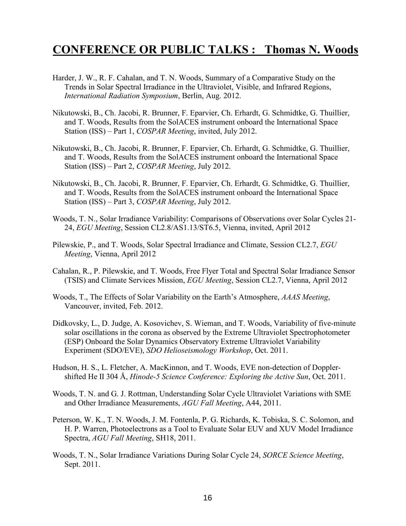## **CONFERENCE OR PUBLIC TALKS : Thomas N. Woods**

- Harder, J. W., R. F. Cahalan, and T. N. Woods, Summary of a Comparative Study on the Trends in Solar Spectral Irradiance in the Ultraviolet, Visible, and Infrared Regions, *International Radiation Symposium*, Berlin, Aug. 2012.
- Nikutowski, B., Ch. Jacobi, R. Brunner, F. Eparvier, Ch. Erhardt, G. Schmidtke, G. Thuillier, and T. Woods, Results from the SolACES instrument onboard the International Space Station (ISS) – Part 1, *COSPAR Meeting*, invited, July 2012.
- Nikutowski, B., Ch. Jacobi, R. Brunner, F. Eparvier, Ch. Erhardt, G. Schmidtke, G. Thuillier, and T. Woods, Results from the SolACES instrument onboard the International Space Station (ISS) – Part 2, *COSPAR Meeting*, July 2012.
- Nikutowski, B., Ch. Jacobi, R. Brunner, F. Eparvier, Ch. Erhardt, G. Schmidtke, G. Thuillier, and T. Woods, Results from the SolACES instrument onboard the International Space Station (ISS) – Part 3, *COSPAR Meeting*, July 2012.
- Woods, T. N., Solar Irradiance Variability: Comparisons of Observations over Solar Cycles 21- 24, *EGU Meeting*, Session CL2.8/AS1.13/ST6.5, Vienna, invited, April 2012
- Pilewskie, P., and T. Woods, Solar Spectral Irradiance and Climate, Session CL2.7, *EGU Meeting*, Vienna, April 2012
- Cahalan, R., P. Pilewskie, and T. Woods, Free Flyer Total and Spectral Solar Irradiance Sensor (TSIS) and Climate Services Mission, *EGU Meeting*, Session CL2.7, Vienna, April 2012
- Woods, T., The Effects of Solar Variability on the Earth's Atmosphere, *AAAS Meeting*, Vancouver, invited, Feb. 2012.
- Didkovsky, L., D. Judge, A. Kosovichev, S. Wieman, and T. Woods, Variability of five-minute solar oscillations in the corona as observed by the Extreme Ultraviolet Spectrophotometer (ESP) Onboard the Solar Dynamics Observatory Extreme Ultraviolet Variability Experiment (SDO/EVE), *SDO Helioseismology Workshop*, Oct. 2011.
- Hudson, H. S., L. Fletcher, A. MacKinnon, and T. Woods, EVE non-detection of Dopplershifted He II 304 Å, *Hinode-5 Science Conference: Exploring the Active Sun*, Oct. 2011.
- Woods, T. N. and G. J. Rottman, Understanding Solar Cycle Ultraviolet Variations with SME and Other Irradiance Measurements, *AGU Fall Meeting*, A44, 2011.
- Peterson, W. K., T. N. Woods, J. M. Fontenla, P. G. Richards, K. Tobiska, S. C. Solomon, and H. P. Warren, Photoelectrons as a Tool to Evaluate Solar EUV and XUV Model Irradiance Spectra, *AGU Fall Meeting*, SH18, 2011.
- Woods, T. N., Solar Irradiance Variations During Solar Cycle 24, *SORCE Science Meeting*, Sept. 2011.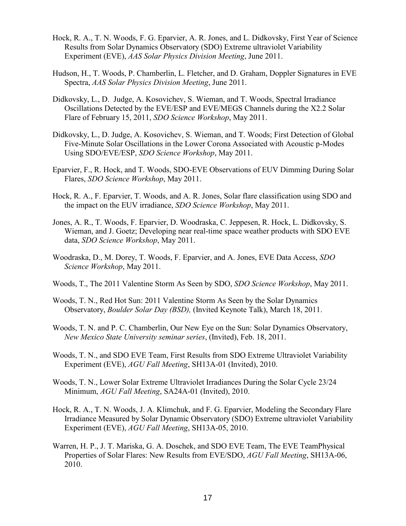- Hock, R. A., T. N. Woods, F. G. Eparvier, A. R. Jones, and L. Didkovsky, First Year of Science Results from Solar Dynamics Observatory (SDO) Extreme ultraviolet Variability Experiment (EVE), *AAS Solar Physics Division Meeting*, June 2011.
- Hudson, H., T. Woods, P. Chamberlin, L. Fletcher, and D. Graham, Doppler Signatures in EVE Spectra, *AAS Solar Physics Division Meeting*, June 2011.
- Didkovsky, L., D. Judge, A. Kosovichev, S. Wieman, and T. Woods, Spectral Irradiance Oscillations Detected by the EVE/ESP and EVE/MEGS Channels during the X2.2 Solar Flare of February 15, 2011, *SDO Science Workshop*, May 2011.
- Didkovsky, L., D. Judge, A. Kosovichev, S. Wieman, and T. Woods; First Detection of Global Five-Minute Solar Oscillations in the Lower Corona Associated with Acoustic p-Modes Using SDO/EVE/ESP, *SDO Science Workshop*, May 2011.
- Eparvier, F., R. Hock, and T. Woods, SDO-EVE Observations of EUV Dimming During Solar Flares, *SDO Science Workshop*, May 2011.
- Hock, R. A., F. Eparvier, T. Woods, and A. R. Jones, Solar flare classification using SDO and the impact on the EUV irradiance, *SDO Science Workshop*, May 2011.
- Jones, A. R., T. Woods, F. Eparvier, D. Woodraska, C. Jeppesen, R. Hock, L. Didkovsky, S. Wieman, and J. Goetz; Developing near real-time space weather products with SDO EVE data, *SDO Science Workshop*, May 2011.
- Woodraska, D., M. Dorey, T. Woods, F. Eparvier, and A. Jones, EVE Data Access, *SDO Science Workshop*, May 2011.
- Woods, T., The 2011 Valentine Storm As Seen by SDO, *SDO Science Workshop*, May 2011.
- Woods, T. N., Red Hot Sun: 2011 Valentine Storm As Seen by the Solar Dynamics Observatory, *Boulder Solar Day (BSD),* (Invited Keynote Talk), March 18, 2011.
- Woods, T. N. and P. C. Chamberlin, Our New Eye on the Sun: Solar Dynamics Observatory, *New Mexico State University seminar series*, (Invited), Feb. 18, 2011.
- Woods, T. N., and SDO EVE Team, First Results from SDO Extreme Ultraviolet Variability Experiment (EVE), *AGU Fall Meeting*, SH13A-01 (Invited), 2010.
- Woods, T. N., Lower Solar Extreme Ultraviolet Irradiances During the Solar Cycle 23/24 Minimum, *AGU Fall Meeting*, SA24A-01 (Invited), 2010.
- Hock, R. A., T. N. Woods, J. A. Klimchuk, and F. G. Eparvier, Modeling the Secondary Flare Irradiance Measured by Solar Dynamic Observatory (SDO) Extreme ultraviolet Variability Experiment (EVE), *AGU Fall Meeting*, SH13A-05, 2010.
- Warren, H. P., J. T. Mariska, G. A. Doschek, and SDO EVE Team, The EVE TeamPhysical Properties of Solar Flares: New Results from EVE/SDO, *AGU Fall Meeting*, SH13A-06, 2010.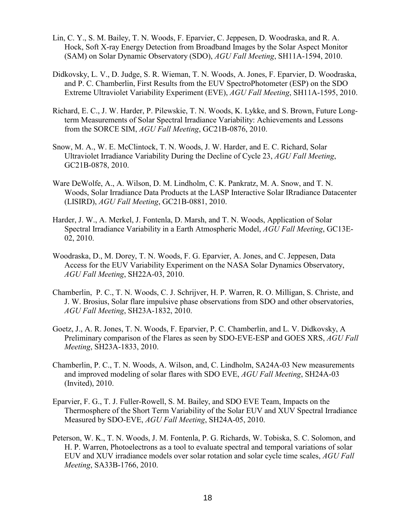- Lin, C. Y., S. M. Bailey, T. N. Woods, F. Eparvier, C. Jeppesen, D. Woodraska, and R. A. Hock, Soft X-ray Energy Detection from Broadband Images by the Solar Aspect Monitor (SAM) on Solar Dynamic Observatory (SDO), *AGU Fall Meeting*, SH11A-1594, 2010.
- Didkovsky, L. V., D. Judge, S. R. Wieman, T. N. Woods, A. Jones, F. Eparvier, D. Woodraska, and P. C. Chamberlin, First Results from the EUV SpectroPhotometer (ESP) on the SDO Extreme Ultraviolet Variability Experiment (EVE), *AGU Fall Meeting*, SH11A-1595, 2010.
- Richard, E. C., J. W. Harder, P. Pilewskie, T. N. Woods, K. Lykke, and S. Brown, Future Longterm Measurements of Solar Spectral Irradiance Variability: Achievements and Lessons from the SORCE SIM, *AGU Fall Meeting*, GC21B-0876, 2010.
- Snow, M. A., W. E. McClintock, T. N. Woods, J. W. Harder, and E. C. Richard, Solar Ultraviolet Irradiance Variability During the Decline of Cycle 23, *AGU Fall Meeting*, GC21B-0878, 2010.
- Ware DeWolfe, A., A. Wilson, D. M. Lindholm, C. K. Pankratz, M. A. Snow, and T. N. Woods, Solar Irradiance Data Products at the LASP Interactive Solar IRradiance Datacenter (LISIRD), *AGU Fall Meeting*, GC21B-0881, 2010.
- Harder, J. W., A. Merkel, J. Fontenla, D. Marsh, and T. N. Woods, Application of Solar Spectral Irradiance Variability in a Earth Atmospheric Model, *AGU Fall Meeting*, GC13E-02, 2010.
- Woodraska, D., M. Dorey, T. N. Woods, F. G. Eparvier, A. Jones, and C. Jeppesen, Data Access for the EUV Variability Experiment on the NASA Solar Dynamics Observatory, *AGU Fall Meeting*, SH22A-03, 2010.
- Chamberlin, P. C., T. N. Woods, C. J. Schrijver, H. P. Warren, R. O. Milligan, S. Christe, and J. W. Brosius, Solar flare impulsive phase observations from SDO and other observatories, *AGU Fall Meeting*, SH23A-1832, 2010.
- Goetz, J., A. R. Jones, T. N. Woods, F. Eparvier, P. C. Chamberlin, and L. V. Didkovsky, A Preliminary comparison of the Flares as seen by SDO-EVE-ESP and GOES XRS, *AGU Fall Meeting*, SH23A-1833, 2010.
- Chamberlin, P. C., T. N. Woods, A. Wilson, and, C. Lindholm, SA24A-03 New measurements and improved modeling of solar flares with SDO EVE, *AGU Fall Meeting*, SH24A-03 (Invited), 2010.
- Eparvier, F. G., T. J. Fuller-Rowell, S. M. Bailey, and SDO EVE Team, Impacts on the Thermosphere of the Short Term Variability of the Solar EUV and XUV Spectral Irradiance Measured by SDO-EVE, *AGU Fall Meeting*, SH24A-05, 2010.
- Peterson, W. K., T. N. Woods, J. M. Fontenla, P. G. Richards, W. Tobiska, S. C. Solomon, and H. P. Warren, Photoelectrons as a tool to evaluate spectral and temporal variations of solar EUV and XUV irradiance models over solar rotation and solar cycle time scales, *AGU Fall Meeting*, SA33B-1766, 2010.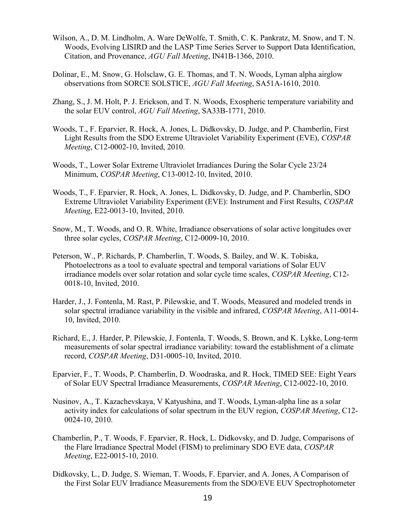- Wilson, A., D. M. Lindholm, A. Ware DeWolfe, T. Smith, C. K. Pankratz, M. Snow, and T. N. Woods, Evolving LISIRD and the LASP Time Series Server to Support Data Identification, Citation, and Provenance, *AGU Fall Meeting*, IN41B-1366, 2010.
- Dolinar, E., M. Snow, G. Holsclaw, G. E. Thomas, and T. N. Woods, Lyman alpha airglow observations from SORCE SOLSTICE, *AGU Fall Meeting*, SA51A-1610, 2010.
- Zhang, S., J. M. Holt, P. J. Erickson, and T. N. Woods, Exospheric temperature variability and the solar EUV control, *AGU Fall Meeting*, SA33B-1771, 2010.
- Woods, T., F. Eparvier, R. Hock, A. Jones, L. Didkovsky, D. Judge, and P. Chamberlin, First Light Results from the SDO Extreme Ultraviolet Variability Experiment (EVE), *COSPAR Meeting*, C12-0002-10, Invited, 2010.
- Woods, T., Lower Solar Extreme Ultraviolet Irradiances During the Solar Cycle 23/24 Minimum, *COSPAR Meeting*, C13-0012-10, Invited, 2010.
- Woods, T., F. Eparvier, R. Hock, A. Jones, L. Didkovsky, D. Judge, and P. Chamberlin, SDO Extreme Ultraviolet Variability Experiment (EVE): Instrument and First Results, *COSPAR Meeting*, E22-0013-10, Invited, 2010.
- Snow, M., T. Woods, and O. R. White, Irradiance observations of solar active longitudes over three solar cycles, *COSPAR Meeting*, C12-0009-10, 2010.
- Peterson, W., P. Richards, P. Chamberlin, T. Woods, S. Bailey, and W. K. Tobiska, Photoelectrons as a tool to evaluate spectral and temporal variations of Solar EUV irradiance models over solar rotation and solar cycle time scales, *COSPAR Meeting*, C12- 0018-10, Invited, 2010.
- Harder, J., J. Fontenla, M. Rast, P. Pilewskie, and T. Woods, Measured and modeled trends in solar spectral irradiance variability in the visible and infrared, *COSPAR Meeting*, A11-0014- 10, Invited, 2010.
- Richard, E., J. Harder, P. Pilewskie, J. Fontenla, T. Woods, S. Brown, and K. Lykke, Long-term measurements of solar spectral irradiance variability: toward the establishment of a climate record, *COSPAR Meeting*, D31-0005-10, Invited, 2010.
- Eparvier, F., T. Woods, P. Chamberlin, D. Woodraska, and R. Hock, TIMED SEE: Eight Years of Solar EUV Spectral Irradiance Measurements, *COSPAR Meeting*, C12-0022-10, 2010.
- Nusinov, A., T. Kazachevskaya, V Katyushina, and T. Woods, Lyman-alpha line as a solar activity index for calculations of solar spectrum in the EUV region, *COSPAR Meeting*, C12- 0024-10, 2010.
- Chamberlin, P., T. Woods, F. Eparvier, R. Hock, L. Didkovsky, and D. Judge, Comparisons of the Flare Irradiance Spectral Model (FISM) to preliminary SDO EVE data, *COSPAR Meeting*, E22-0015-10, 2010.
- Didkovsky, L., D. Judge, S. Wieman, T. Woods, F. Eparvier, and A. Jones, A Comparison of the First Solar EUV Irradiance Measurements from the SDO/EVE EUV Spectrophotometer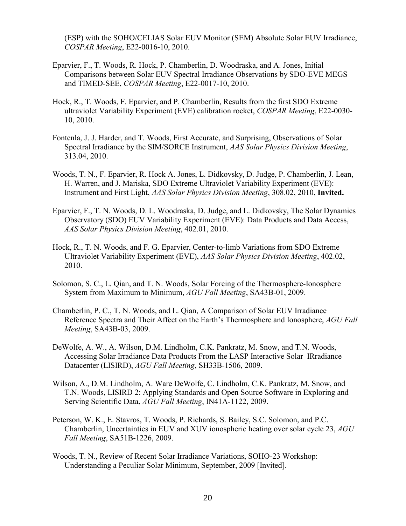(ESP) with the SOHO/CELIAS Solar EUV Monitor (SEM) Absolute Solar EUV Irradiance, *COSPAR Meeting*, E22-0016-10, 2010.

- Eparvier, F., T. Woods, R. Hock, P. Chamberlin, D. Woodraska, and A. Jones, Initial Comparisons between Solar EUV Spectral Irradiance Observations by SDO-EVE MEGS and TIMED-SEE, *COSPAR Meeting*, E22-0017-10, 2010.
- Hock, R., T. Woods, F. Eparvier, and P. Chamberlin, Results from the first SDO Extreme ultraviolet Variability Experiment (EVE) calibration rocket, *COSPAR Meeting*, E22-0030- 10, 2010.
- Fontenla, J. J. Harder, and T. Woods, First Accurate, and Surprising, Observations of Solar Spectral Irradiance by the SIM/SORCE Instrument, *AAS Solar Physics Division Meeting*, 313.04, 2010.
- Woods, T. N., F. Eparvier, R. Hock A. Jones, L. Didkovsky, D. Judge, P. Chamberlin, J. Lean, H. Warren, and J. Mariska, SDO Extreme Ultraviolet Variability Experiment (EVE): Instrument and First Light, *AAS Solar Physics Division Meeting*, 308.02, 2010, **Invited.**
- Eparvier, F., T. N. Woods, D. L. Woodraska, D. Judge, and L. Didkovsky, The Solar Dynamics Observatory (SDO) EUV Variability Experiment (EVE): Data Products and Data Access, *AAS Solar Physics Division Meeting*, 402.01, 2010.
- Hock, R., T. N. Woods, and F. G. Eparvier, Center-to-limb Variations from SDO Extreme Ultraviolet Variability Experiment (EVE), *AAS Solar Physics Division Meeting*, 402.02, 2010.
- Solomon, S. C., L. Qian, and T. N. Woods, Solar Forcing of the Thermosphere-Ionosphere System from Maximum to Minimum, *AGU Fall Meeting*, SA43B-01, 2009.
- Chamberlin, P. C., T. N. Woods, and L. Qian, A Comparison of Solar EUV Irradiance Reference Spectra and Their Affect on the Earth's Thermosphere and Ionosphere, *AGU Fall Meeting*, SA43B-03, 2009.
- DeWolfe, A. W., A. Wilson, D.M. Lindholm, C.K. Pankratz, M. Snow, and T.N. Woods, Accessing Solar Irradiance Data Products From the LASP Interactive Solar IRradiance Datacenter (LISIRD), *AGU Fall Meeting*, SH33B-1506, 2009.
- Wilson, A., D.M. Lindholm, A. Ware DeWolfe, C. Lindholm, C.K. Pankratz, M. Snow, and T.N. Woods, LISIRD 2: Applying Standards and Open Source Software in Exploring and Serving Scientific Data, *AGU Fall Meeting*, IN41A-1122, 2009.
- Peterson, W. K., E. Stavros, T. Woods, P. Richards, S. Bailey, S.C. Solomon, and P.C. Chamberlin, Uncertainties in EUV and XUV ionospheric heating over solar cycle 23, *AGU Fall Meeting*, SA51B-1226, 2009.
- Woods, T. N., Review of Recent Solar Irradiance Variations, SOHO-23 Workshop: Understanding a Peculiar Solar Minimum, September, 2009 [Invited].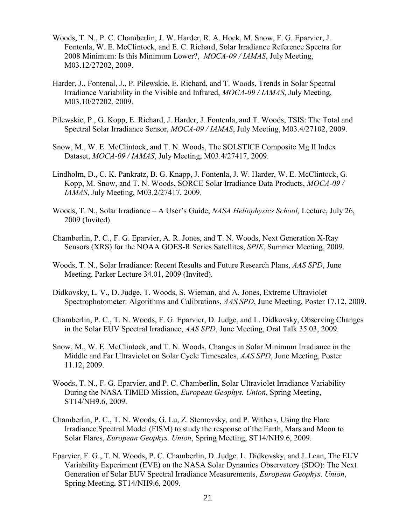- Woods, T. N., P. C. Chamberlin, J. W. Harder, R. A. Hock, M. Snow, F. G. Eparvier, J. Fontenla, W. E. McClintock, and E. C. Richard, Solar Irradiance Reference Spectra for 2008 Minimum: Is this Minimum Lower?, *MOCA-09 / IAMAS*, July Meeting, M03.12/27202, 2009.
- Harder, J., Fontenal, J., P. Pilewskie, E. Richard, and T. Woods, Trends in Solar Spectral Irradiance Variability in the Visible and Infrared, *MOCA-09 / IAMAS*, July Meeting, M03.10/27202, 2009.
- Pilewskie, P., G. Kopp, E. Richard, J. Harder, J. Fontenla, and T. Woods, TSIS: The Total and Spectral Solar Irradiance Sensor, *MOCA-09 / IAMAS*, July Meeting, M03.4/27102, 2009.
- Snow, M., W. E. McClintock, and T. N. Woods, The SOLSTICE Composite Mg II Index Dataset, *MOCA-09 / IAMAS*, July Meeting, M03.4/27417, 2009.
- Lindholm, D., C. K. Pankratz, B. G. Knapp, J. Fontenla, J. W. Harder, W. E. McClintock, G. Kopp, M. Snow, and T. N. Woods, SORCE Solar Irradiance Data Products, *MOCA-09 / IAMAS*, July Meeting, M03.2/27417, 2009.
- Woods, T. N., Solar Irradiance A User's Guide, *NASA Heliophysics School,* Lecture, July 26, 2009 (Invited).
- Chamberlin, P. C., F. G. Eparvier, A. R. Jones, and T. N. Woods, Next Generation X-Ray Sensors (XRS) for the NOAA GOES-R Series Satellites, *SPIE*, Summer Meeting, 2009.
- Woods, T. N., Solar Irradiance: Recent Results and Future Research Plans, *AAS SPD*, June Meeting, Parker Lecture 34.01, 2009 (Invited).
- Didkovsky, L. V., D. Judge, T. Woods, S. Wieman, and A. Jones, Extreme Ultraviolet Spectrophotometer: Algorithms and Calibrations, *AAS SPD*, June Meeting, Poster 17.12, 2009.
- Chamberlin, P. C., T. N. Woods, F. G. Eparvier, D. Judge, and L. Didkovsky, Observing Changes in the Solar EUV Spectral Irradiance, *AAS SPD*, June Meeting, Oral Talk 35.03, 2009.
- Snow, M., W. E. McClintock, and T. N. Woods, Changes in Solar Minimum Irradiance in the Middle and Far Ultraviolet on Solar Cycle Timescales, *AAS SPD*, June Meeting, Poster 11.12, 2009.
- Woods, T. N., F. G. Eparvier, and P. C. Chamberlin, Solar Ultraviolet Irradiance Variability During the NASA TIMED Mission, *European Geophys. Union*, Spring Meeting, ST14/NH9.6, 2009.
- Chamberlin, P. C., T. N. Woods, G. Lu, Z. Sternovsky, and P. Withers, Using the Flare Irradiance Spectral Model (FISM) to study the response of the Earth, Mars and Moon to Solar Flares, *European Geophys. Union*, Spring Meeting, ST14/NH9.6, 2009.
- Eparvier, F. G., T. N. Woods, P. C. Chamberlin, D. Judge, L. Didkovsky, and J. Lean, The EUV Variability Experiment (EVE) on the NASA Solar Dynamics Observatory (SDO): The Next Generation of Solar EUV Spectral Irradiance Measurements, *European Geophys. Union*, Spring Meeting, ST14/NH9.6, 2009.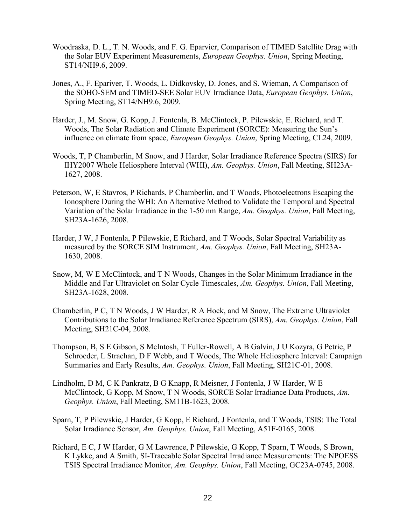- Woodraska, D. L., T. N. Woods, and F. G. Eparvier, Comparison of TIMED Satellite Drag with the Solar EUV Experiment Measurements, *European Geophys. Union*, Spring Meeting, ST14/NH9.6, 2009.
- Jones, A., F. Epariver, T. Woods, L. Didkovsky, D. Jones, and S. Wieman, A Comparison of the SOHO-SEM and TIMED-SEE Solar EUV Irradiance Data, *European Geophys. Union*, Spring Meeting, ST14/NH9.6, 2009.
- Harder, J., M. Snow, G. Kopp, J. Fontenla, B. McClintock, P. Pilewskie, E. Richard, and T. Woods, The Solar Radiation and Climate Experiment (SORCE): Measuring the Sun's influence on climate from space, *European Geophys. Union*, Spring Meeting, CL24, 2009.
- Woods, T, P Chamberlin, M Snow, and J Harder, Solar Irradiance Reference Spectra (SIRS) for IHY2007 Whole Heliosphere Interval (WHI), *Am. Geophys. Union*, Fall Meeting, SH23A-1627, 2008.
- Peterson, W, E Stavros, P Richards, P Chamberlin, and T Woods, Photoelectrons Escaping the Ionosphere During the WHI: An Alternative Method to Validate the Temporal and Spectral Variation of the Solar Irradiance in the 1-50 nm Range, *Am. Geophys. Union*, Fall Meeting, SH23A-1626, 2008.
- Harder, J W, J Fontenla, P Pilewskie, E Richard, and T Woods, Solar Spectral Variability as measured by the SORCE SIM Instrument, *Am. Geophys. Union*, Fall Meeting, SH23A-1630, 2008.
- Snow, M, W E McClintock, and T N Woods, Changes in the Solar Minimum Irradiance in the Middle and Far Ultraviolet on Solar Cycle Timescales, *Am. Geophys. Union*, Fall Meeting, SH23A-1628, 2008.
- Chamberlin, P C, T N Woods, J W Harder, R A Hock, and M Snow, The Extreme Ultraviolet Contributions to the Solar Irradiance Reference Spectrum (SIRS), *Am. Geophys. Union*, Fall Meeting, SH21C-04, 2008.
- Thompson, B, S E Gibson, S McIntosh, T Fuller-Rowell, A B Galvin, J U Kozyra, G Petrie, P Schroeder, L Strachan, D F Webb, and T Woods, The Whole Heliosphere Interval: Campaign Summaries and Early Results, *Am. Geophys. Union*, Fall Meeting, SH21C-01, 2008.
- Lindholm, D M, C K Pankratz, B G Knapp, R Meisner, J Fontenla, J W Harder, W E McClintock, G Kopp, M Snow, T N Woods, SORCE Solar Irradiance Data Products, *Am. Geophys. Union*, Fall Meeting, SM11B-1623, 2008.
- Sparn, T, P Pilewskie, J Harder, G Kopp, E Richard, J Fontenla, and T Woods, TSIS: The Total Solar Irradiance Sensor, *Am. Geophys. Union*, Fall Meeting, A51F-0165, 2008.
- Richard, E C, J W Harder, G M Lawrence, P Pilewskie, G Kopp, T Sparn, T Woods, S Brown, K Lykke, and A Smith, SI-Traceable Solar Spectral Irradiance Measurements: The NPOESS TSIS Spectral Irradiance Monitor, *Am. Geophys. Union*, Fall Meeting, GC23A-0745, 2008.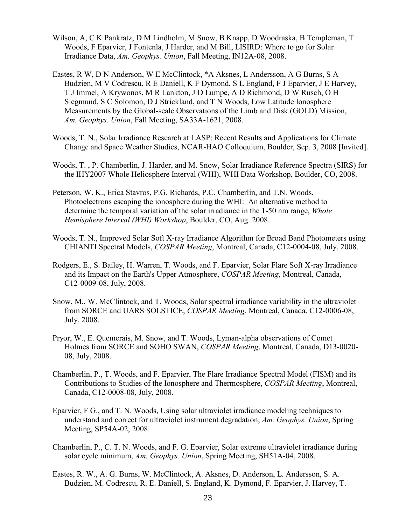- Wilson, A, C K Pankratz, D M Lindholm, M Snow, B Knapp, D Woodraska, B Templeman, T Woods, F Eparvier, J Fontenla, J Harder, and M Bill, LISIRD: Where to go for Solar Irradiance Data, *Am. Geophys. Union*, Fall Meeting, IN12A-08, 2008.
- Eastes, R W, D N Anderson, W E McClintock, \*A Aksnes, L Andersson, A G Burns, S A Budzien, M V Codrescu, R E Daniell, K F Dymond, S L England, F J Eparvier, J E Harvey, T J Immel, A Krywonos, M R Lankton, J D Lumpe, A D Richmond, D W Rusch, O H Siegmund, S C Solomon, D J Strickland, and T N Woods, Low Latitude Ionosphere Measurements by the Global-scale Observations of the Limb and Disk (GOLD) Mission, *Am. Geophys. Union*, Fall Meeting, SA33A-1621, 2008.
- Woods, T. N., Solar Irradiance Research at LASP: Recent Results and Applications for Climate Change and Space Weather Studies, NCAR-HAO Colloquium, Boulder, Sep. 3, 2008 [Invited].
- Woods, T. , P. Chamberlin, J. Harder, and M. Snow, Solar Irradiance Reference Spectra (SIRS) for the IHY2007 Whole Heliosphere Interval (WHI), WHI Data Workshop, Boulder, CO, 2008.
- Peterson, W. K., Erica Stavros, P.G. Richards, P.C. Chamberlin, and T.N. Woods, Photoelectrons escaping the ionosphere during the WHI: An alternative method to determine the temporal variation of the solar irradiance in the 1-50 nm range, *Whole Hemisphere Interval (WHI) Workshop*, Boulder, CO, Aug. 2008.
- Woods, T. N., Improved Solar Soft X-ray Irradiance Algorithm for Broad Band Photometers using CHIANTI Spectral Models, *COSPAR Meeting*, Montreal, Canada, C12-0004-08, July, 2008.
- Rodgers, E., S. Bailey, H. Warren, T. Woods, and F. Eparvier, Solar Flare Soft X-ray Irradiance and its Impact on the Earth's Upper Atmosphere, *COSPAR Meeting*, Montreal, Canada, C12-0009-08, July, 2008.
- Snow, M., W. McClintock, and T. Woods, Solar spectral irradiance variability in the ultraviolet from SORCE and UARS SOLSTICE, *COSPAR Meeting*, Montreal, Canada, C12-0006-08, July, 2008.
- Pryor, W., E. Quemerais, M. Snow, and T. Woods, Lyman-alpha observations of Comet Holmes from SORCE and SOHO SWAN, *COSPAR Meeting*, Montreal, Canada, D13-0020- 08, July, 2008.
- Chamberlin, P., T. Woods, and F. Eparvier, The Flare Irradiance Spectral Model (FISM) and its Contributions to Studies of the Ionosphere and Thermosphere, *COSPAR Meeting*, Montreal, Canada, C12-0008-08, July, 2008.
- Eparvier, F G., and T. N. Woods, Using solar ultraviolet irradiance modeling techniques to understand and correct for ultraviolet instrument degradation, *Am. Geophys. Union*, Spring Meeting, SP54A-02, 2008.
- Chamberlin, P., C. T. N. Woods, and F. G. Eparvier, Solar extreme ultraviolet irradiance during solar cycle minimum, *Am. Geophys. Union*, Spring Meeting, SH51A-04, 2008.
- Eastes, R. W., A. G. Burns, W. McClintock, A. Aksnes, D. Anderson, L. Andersson, S. A. Budzien, M. Codrescu, R. E. Daniell, S. England, K. Dymond, F. Eparvier, J. Harvey, T.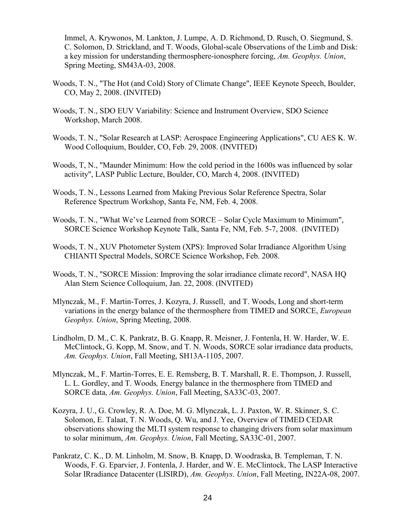Immel, A. Krywonos, M. Lankton, J. Lumpe, A. D. Richmond, D. Rusch, O. Siegmund, S. C. Solomon, D. Strickland, and T. Woods, Global-scale Observations of the Limb and Disk: a key mission for understanding thermosphere-ionosphere forcing, *Am. Geophys. Union*, Spring Meeting, SM43A-03, 2008.

- Woods, T. N., "The Hot (and Cold) Story of Climate Change", IEEE Keynote Speech, Boulder, CO, May 2, 2008. (INVITED)
- Woods, T. N., SDO EUV Variability: Science and Instrument Overview, SDO Science Workshop, March 2008.
- Woods, T. N., "Solar Research at LASP: Aerospace Engineering Applications", CU AES K. W. Wood Colloquium, Boulder, CO, Feb. 29, 2008. (INVITED)
- Woods, T, N., "Maunder Minimum: How the cold period in the 1600s was influenced by solar activity", LASP Public Lecture, Boulder, CO, March 4, 2008. (INVITED)
- Woods, T. N., Lessons Learned from Making Previous Solar Reference Spectra, Solar Reference Spectrum Workshop, Santa Fe, NM, Feb. 4, 2008.
- Woods, T. N., "What We've Learned from SORCE Solar Cycle Maximum to Minimum", SORCE Science Workshop Keynote Talk, Santa Fe, NM, Feb. 5-7, 2008. (INVITED)
- Woods, T. N., XUV Photometer System (XPS): Improved Solar Irradiance Algorithm Using CHIANTI Spectral Models, SORCE Science Workshop, Feb. 2008.
- Woods, T. N., "SORCE Mission: Improving the solar irradiance climate record", NASA HQ Alan Stern Science Colloquium, Jan. 22, 2008. (INVITED)
- Mlynczak, M., F. Martin-Torres, J. Kozyra, J. Russell, and T. Woods, Long and short-term variations in the energy balance of the thermosphere from TIMED and SORCE, *European Geophys. Union*, Spring Meeting, 2008.
- Lindholm, D. M., C. K. Pankratz, B. G. Knapp, R. Meisner, J. Fontenla, H. W. Harder, W. E. McClintock, G. Kopp, M. Snow, and T. N. Woods, SORCE solar irradiance data products, *Am. Geophys. Union*, Fall Meeting, SH13A-1105, 2007.
- Mlynczak, M., F. Martin-Torres, E. E. Remsberg, B. T. Marshall, R. E. Thompson, J. Russell, L. L. Gordley, and T. Woods*,* Energy balance in the thermosphere from TIMED and SORCE data, *Am. Geophys. Union*, Fall Meeting, SA33C-03, 2007.
- Kozyra, J. U., G. Crowley, R. A. Doe, M. G. Mlynczak, L. J. Paxton, W. R. Skinner, S. C. Solomon, E. Talaat, T. N. Woods, Q. Wu, and J. Yee, Overview of TIMED CEDAR observations showing the MLTI system response to changing drivers from solar maximum to solar minimum, *Am. Geophys. Union*, Fall Meeting, SA33C-01, 2007.
- Pankratz, C. K., D. M. Linholm, M. Snow, B. Knapp, D. Woodraska, B. Templeman, T. N. Woods, F. G. Eparvier, J. Fontenla, J. Harder, and W. E. McClintock, The LASP Interactive Solar IRradiance Datacenter (LISIRD), *Am. Geophys. Union*, Fall Meeting, IN22A-08, 2007.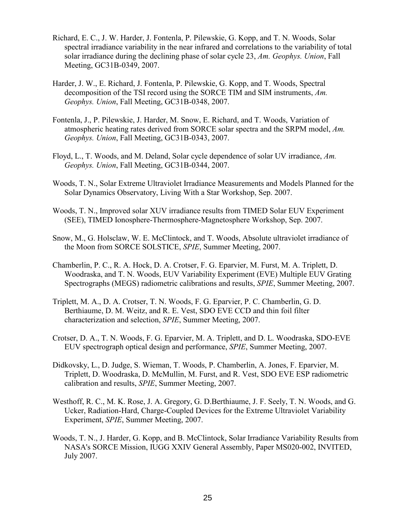- Richard, E. C., J. W. Harder, J. Fontenla, P. Pilewskie, G. Kopp, and T. N. Woods, Solar spectral irradiance variability in the near infrared and correlations to the variability of total solar irradiance during the declining phase of solar cycle 23, *Am. Geophys. Union*, Fall Meeting, GC31B-0349, 2007.
- Harder, J. W., E. Richard, J. Fontenla, P. Pilewskie, G. Kopp, and T. Woods, Spectral decomposition of the TSI record using the SORCE TIM and SIM instruments, *Am. Geophys. Union*, Fall Meeting, GC31B-0348, 2007.
- Fontenla, J., P. Pilewskie, J. Harder, M. Snow, E. Richard, and T. Woods, Variation of atmospheric heating rates derived from SORCE solar spectra and the SRPM model, *Am. Geophys. Union*, Fall Meeting, GC31B-0343, 2007.
- Floyd, L., T. Woods, and M. Deland, Solar cycle dependence of solar UV irradiance, *Am. Geophys. Union*, Fall Meeting, GC31B-0344, 2007.
- Woods, T. N., Solar Extreme Ultraviolet Irradiance Measurements and Models Planned for the Solar Dynamics Observatory, Living With a Star Workshop, Sep. 2007.
- Woods, T. N., Improved solar XUV irradiance results from TIMED Solar EUV Experiment (SEE), TIMED Ionosphere-Thermosphere-Magnetosphere Workshop, Sep. 2007.
- Snow, M., G. Holsclaw, W. E. McClintock, and T. Woods, Absolute ultraviolet irradiance of the Moon from SORCE SOLSTICE, *SPIE*, Summer Meeting, 2007.
- Chamberlin, P. C., R. A. Hock, D. A. Crotser, F. G. Eparvier, M. Furst, M. A. Triplett, D. Woodraska, and T. N. Woods, EUV Variability Experiment (EVE) Multiple EUV Grating Spectrographs (MEGS) radiometric calibrations and results, *SPIE*, Summer Meeting, 2007.
- Triplett, M. A., D. A. Crotser, T. N. Woods, F. G. Eparvier, P. C. Chamberlin, G. D. Berthiaume, D. M. Weitz, and R. E. Vest, SDO EVE CCD and thin foil filter characterization and selection, *SPIE*, Summer Meeting, 2007.
- Crotser, D. A., T. N. Woods, F. G. Eparvier, M. A. Triplett, and D. L. Woodraska, SDO-EVE EUV spectrograph optical design and performance, *SPIE*, Summer Meeting, 2007.
- Didkovsky, L., D. Judge, S. Wieman, T. Woods, P. Chamberlin, A. Jones, F. Eparvier, M. Triplett, D. Woodraska, D. McMullin, M. Furst, and R. Vest, SDO EVE ESP radiometric calibration and results, *SPIE*, Summer Meeting, 2007.
- Westhoff, R. C., M. K. Rose, J. A. Gregory, G. D.Berthiaume, J. F. Seely, T. N. Woods, and G. Ucker, Radiation-Hard, Charge-Coupled Devices for the Extreme Ultraviolet Variability Experiment, *SPIE*, Summer Meeting, 2007.
- Woods, T. N., J. Harder, G. Kopp, and B. McClintock, Solar Irradiance Variability Results from NASA's SORCE Mission, IUGG XXIV General Assembly, Paper MS020-002, INVITED, July 2007.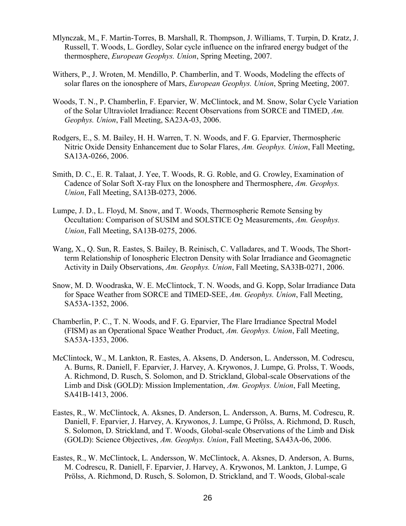- Mlynczak, M., F. Martin-Torres, B. Marshall, R. Thompson, J. Williams, T. Turpin, D. Kratz, J. Russell, T. Woods, L. Gordley, Solar cycle influence on the infrared energy budget of the thermosphere, *European Geophys. Union*, Spring Meeting, 2007.
- Withers, P., J. Wroten, M. Mendillo, P. Chamberlin, and T. Woods, Modeling the effects of solar flares on the ionosphere of Mars, *European Geophys. Union*, Spring Meeting, 2007.
- Woods, T. N., P. Chamberlin, F. Eparvier, W. McClintock, and M. Snow, Solar Cycle Variation of the Solar Ultraviolet Irradiance: Recent Observations from SORCE and TIMED, *Am. Geophys. Union*, Fall Meeting, SA23A-03, 2006.
- Rodgers, E., S. M. Bailey, H. H. Warren, T. N. Woods, and F. G. Eparvier, Thermospheric Nitric Oxide Density Enhancement due to Solar Flares, *Am. Geophys. Union*, Fall Meeting, SA13A-0266, 2006.
- Smith, D. C., E. R. Talaat, J. Yee, T. Woods, R. G. Roble, and G. Crowley, Examination of Cadence of Solar Soft X-ray Flux on the Ionosphere and Thermosphere, *Am. Geophys. Union*, Fall Meeting, SA13B-0273, 2006.
- Lumpe, J. D., L. Floyd, M. Snow, and T. Woods, Thermospheric Remote Sensing by Occultation: Comparison of SUSIM and SOLSTICE O<sub>2</sub> Measurements, *Am. Geophys. Union*, Fall Meeting, SA13B-0275, 2006.
- Wang, X., Q. Sun, R. Eastes, S. Bailey, B. Reinisch, C. Valladares, and T. Woods, The Shortterm Relationship of Ionospheric Electron Density with Solar Irradiance and Geomagnetic Activity in Daily Observations, *Am. Geophys. Union*, Fall Meeting, SA33B-0271, 2006.
- Snow, M. D. Woodraska, W. E. McClintock, T. N. Woods, and G. Kopp, Solar Irradiance Data for Space Weather from SORCE and TIMED-SEE, *Am. Geophys. Union*, Fall Meeting, SA53A-1352, 2006.
- Chamberlin, P. C., T. N. Woods, and F. G. Eparvier, The Flare Irradiance Spectral Model (FISM) as an Operational Space Weather Product, *Am. Geophys. Union*, Fall Meeting, SA53A-1353, 2006.
- McClintock, W., M. Lankton, R. Eastes, A. Aksens, D. Anderson, L. Andersson, M. Codrescu, A. Burns, R. Daniell, F. Eparvier, J. Harvey, A. Krywonos, J. Lumpe, G. Prolss, T. Woods, A. Richmond, D. Rusch, S. Solomon, and D. Strickland, Global-scale Observations of the Limb and Disk (GOLD): Mission Implementation, *Am. Geophys. Union*, Fall Meeting, SA41B-1413, 2006.
- Eastes, R., W. McClintock, A. Aksnes, D. Anderson, L. Andersson, A. Burns, M. Codrescu, R. Daniell, F. Eparvier, J. Harvey, A. Krywonos, J. Lumpe, G Prölss, A. Richmond, D. Rusch, S. Solomon, D. Strickland, and T. Woods, Global-scale Observations of the Limb and Disk (GOLD): Science Objectives, *Am. Geophys. Union*, Fall Meeting, SA43A-06, 2006.
- Eastes, R., W. McClintock, L. Andersson, W. McClintock, A. Aksnes, D. Anderson, A. Burns, M. Codrescu, R. Daniell, F. Eparvier, J. Harvey, A. Krywonos, M. Lankton, J. Lumpe, G Prölss, A. Richmond, D. Rusch, S. Solomon, D. Strickland, and T. Woods, Global-scale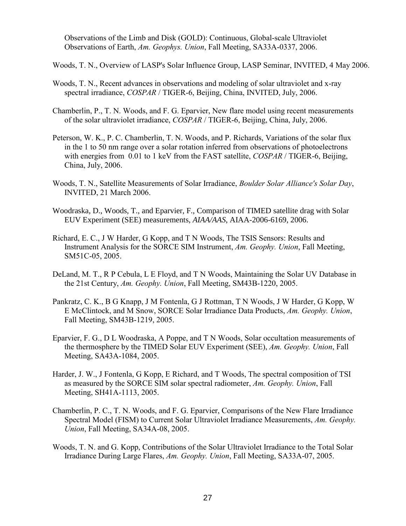Observations of the Limb and Disk (GOLD): Continuous, Global-scale Ultraviolet Observations of Earth, *Am. Geophys. Union*, Fall Meeting, SA33A-0337, 2006.

Woods, T. N., Overview of LASP's Solar Influence Group, LASP Seminar, INVITED, 4 May 2006.

- Woods, T. N., Recent advances in observations and modeling of solar ultraviolet and x-ray spectral irradiance, *COSPAR* / TIGER-6, Beijing, China, INVITED, July, 2006.
- Chamberlin, P., T. N. Woods, and F. G. Eparvier, New flare model using recent measurements of the solar ultraviolet irradiance, *COSPAR* / TIGER-6, Beijing, China, July, 2006.
- Peterson, W. K., P. C. Chamberlin, T. N. Woods, and P. Richards, Variations of the solar flux in the 1 to 50 nm range over a solar rotation inferred from observations of photoelectrons with energies from 0.01 to 1 keV from the FAST satellite, *COSPAR* / TIGER-6, Beijing, China, July, 2006.
- Woods, T. N., Satellite Measurements of Solar Irradiance, *Boulder Solar Alliance's Solar Day*, INVITED, 21 March 2006.
- Woodraska, D., Woods, T., and Eparvier, F., Comparison of TIMED satellite drag with Solar EUV Experiment (SEE) measurements, *AIAA/AAS*, AIAA-2006-6169, 2006.
- Richard, E. C., J W Harder, G Kopp, and T N Woods, The TSIS Sensors: Results and Instrument Analysis for the SORCE SIM Instrument, *Am. Geophy. Union*, Fall Meeting, SM51C-05, 2005.
- DeLand, M. T., R P Cebula, L E Floyd, and T N Woods, Maintaining the Solar UV Database in the 21st Century, *Am. Geophy. Union*, Fall Meeting, SM43B-1220, 2005.
- Pankratz, C. K., B G Knapp, J M Fontenla, G J Rottman, T N Woods, J W Harder, G Kopp, W E McClintock, and M Snow, SORCE Solar Irradiance Data Products, *Am. Geophy. Union*, Fall Meeting, SM43B-1219, 2005.
- Eparvier, F. G., D L Woodraska, A Poppe, and T N Woods, Solar occultation measurements of the thermosphere by the TIMED Solar EUV Experiment (SEE), *Am. Geophy. Union*, Fall Meeting, SA43A-1084, 2005.
- Harder, J. W., J Fontenla, G Kopp, E Richard, and T Woods, The spectral composition of TSI as measured by the SORCE SIM solar spectral radiometer, *Am. Geophy. Union*, Fall Meeting, SH41A-1113, 2005.
- Chamberlin, P. C., T. N. Woods, and F. G. Eparvier, Comparisons of the New Flare Irradiance Spectral Model (FISM) to Current Solar Ultraviolet Irradiance Measurements, *Am. Geophy. Union*, Fall Meeting, SA34A-08, 2005.
- Woods, T. N. and G. Kopp, Contributions of the Solar Ultraviolet Irradiance to the Total Solar Irradiance During Large Flares, *Am. Geophy. Union*, Fall Meeting, SA33A-07, 2005.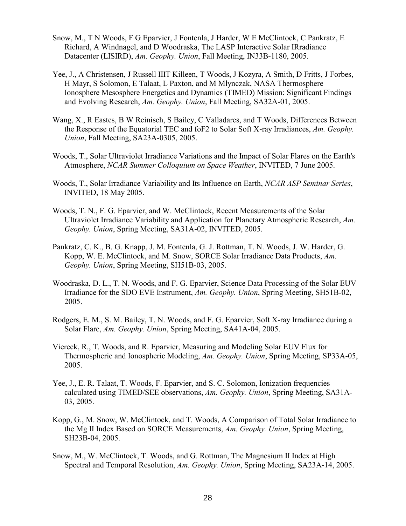- Snow, M., T N Woods, F G Eparvier, J Fontenla, J Harder, W E McClintock, C Pankratz, E Richard, A Windnagel, and D Woodraska, The LASP Interactive Solar IRradiance Datacenter (LISIRD), *Am. Geophy. Union*, Fall Meeting, IN33B-1180, 2005.
- Yee, J., A Christensen, J Russell IIIT Killeen, T Woods, J Kozyra, A Smith, D Fritts, J Forbes, H Mayr, S Solomon, E Talaat, L Paxton, and M Mlynczak, NASA Thermosphere Ionosphere Mesosphere Energetics and Dynamics (TIMED) Mission: Significant Findings and Evolving Research, *Am. Geophy. Union*, Fall Meeting, SA32A-01, 2005.
- Wang, X., R Eastes, B W Reinisch, S Bailey, C Valladares, and T Woods, Differences Between the Response of the Equatorial TEC and foF2 to Solar Soft X-ray Irradiances, *Am. Geophy. Union*, Fall Meeting, SA23A-0305, 2005.
- Woods, T., Solar Ultraviolet Irradiance Variations and the Impact of Solar Flares on the Earth's Atmosphere, *NCAR Summer Colloquium on Space Weather*, INVITED, 7 June 2005.
- Woods, T., Solar Irradiance Variability and Its Influence on Earth, *NCAR ASP Seminar Series*, INVITED, 18 May 2005.
- Woods, T. N., F. G. Eparvier, and W. McClintock, Recent Measurements of the Solar Ultraviolet Irradiance Variability and Application for Planetary Atmospheric Research, *Am. Geophy. Union*, Spring Meeting, SA31A-02, INVITED, 2005.
- Pankratz, C. K., B. G. Knapp, J. M. Fontenla, G. J. Rottman, T. N. Woods, J. W. Harder, G. Kopp, W. E. McClintock, and M. Snow, SORCE Solar Irradiance Data Products, *Am. Geophy. Union*, Spring Meeting, SH51B-03, 2005.
- Woodraska, D. L., T. N. Woods, and F. G. Eparvier, Science Data Processing of the Solar EUV Irradiance for the SDO EVE Instrument, *Am. Geophy. Union*, Spring Meeting, SH51B-02, 2005.
- Rodgers, E. M., S. M. Bailey, T. N. Woods, and F. G. Eparvier, Soft X-ray Irradiance during a Solar Flare, *Am. Geophy. Union*, Spring Meeting, SA41A-04, 2005.
- Viereck, R., T. Woods, and R. Eparvier, Measuring and Modeling Solar EUV Flux for Thermospheric and Ionospheric Modeling, *Am. Geophy. Union*, Spring Meeting, SP33A-05, 2005.
- Yee, J., E. R. Talaat, T. Woods, F. Eparvier, and S. C. Solomon, Ionization frequencies calculated using TIMED/SEE observations, *Am. Geophy. Union*, Spring Meeting, SA31A-03, 2005.
- Kopp, G., M. Snow, W. McClintock, and T. Woods, A Comparison of Total Solar Irradiance to the Mg II Index Based on SORCE Measurements, *Am. Geophy. Union*, Spring Meeting, SH23B-04, 2005.
- Snow, M., W. McClintock, T. Woods, and G. Rottman, The Magnesium II Index at High Spectral and Temporal Resolution, *Am. Geophy. Union*, Spring Meeting, SA23A-14, 2005.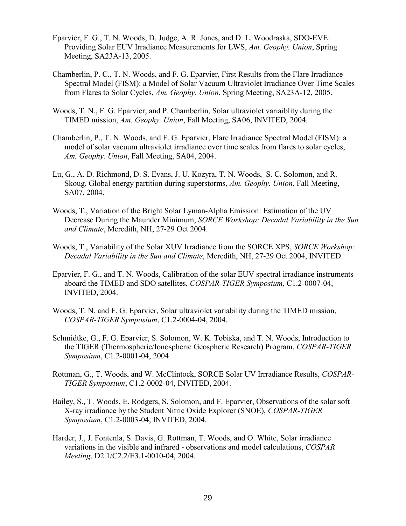- Eparvier, F. G., T. N. Woods, D. Judge, A. R. Jones, and D. L. Woodraska, SDO-EVE: Providing Solar EUV Irradiance Measurements for LWS, *Am. Geophy. Union*, Spring Meeting, SA23A-13, 2005.
- Chamberlin, P. C., T. N. Woods, and F. G. Eparvier, First Results from the Flare Irradiance Spectral Model (FISM): a Model of Solar Vacuum Ultraviolet Irradiance Over Time Scales from Flares to Solar Cycles, *Am. Geophy. Union*, Spring Meeting, SA23A-12, 2005.
- Woods, T. N., F. G. Eparvier, and P. Chamberlin, Solar ultraviolet variaiblity during the TIMED mission, *Am. Geophy. Union*, Fall Meeting, SA06, INVITED, 2004.
- Chamberlin, P., T. N. Woods, and F. G. Eparvier, Flare Irradiance Spectral Model (FISM): a model of solar vacuum ultraviolet irradiance over time scales from flares to solar cycles, *Am. Geophy. Union*, Fall Meeting, SA04, 2004.
- Lu, G., A. D. Richmond, D. S. Evans, J. U. Kozyra, T. N. Woods, S. C. Solomon, and R. Skoug, Global energy partition during superstorms, *Am. Geophy. Union*, Fall Meeting, SA07, 2004.
- Woods, T., Variation of the Bright Solar Lyman-Alpha Emission: Estimation of the UV Decrease During the Maunder Minimum, *SORCE Workshop: Decadal Variability in the Sun and Climate*, Meredith, NH, 27-29 Oct 2004.
- Woods, T., Variability of the Solar XUV Irradiance from the SORCE XPS, *SORCE Workshop: Decadal Variability in the Sun and Climate*, Meredith, NH, 27-29 Oct 2004, INVITED.
- Eparvier, F. G., and T. N. Woods, Calibration of the solar EUV spectral irradiance instruments aboard the TIMED and SDO satellites, *COSPAR-TIGER Symposium*, C1.2-0007-04, INVITED, 2004.
- Woods, T. N. and F. G. Eparvier, Solar ultraviolet variability during the TIMED mission, *COSPAR-TIGER Symposium*, C1.2-0004-04, 2004.
- Schmidtke, G., F. G. Eparvier, S. Solomon, W. K. Tobiska, and T. N. Woods, Introduction to the TIGER (Thermospheric/Ionospheric Geospheric Research) Program, *COSPAR-TIGER Symposium*, C1.2-0001-04, 2004.
- Rottman, G., T. Woods, and W. McClintock, SORCE Solar UV Irrradiance Results, *COSPAR-TIGER Symposium*, C1.2-0002-04, INVITED, 2004.
- Bailey, S., T. Woods, E. Rodgers, S. Solomon, and F. Eparvier, Observations of the solar soft X-ray irradiance by the Student Nitric Oxide Explorer (SNOE), *COSPAR-TIGER Symposium*, C1.2-0003-04, INVITED, 2004.
- Harder, J., J. Fontenla, S. Davis, G. Rottman, T. Woods, and O. White, Solar irradiance variations in the visible and infrared - observations and model calculations, *COSPAR Meeting*, D2.1/C2.2/E3.1-0010-04, 2004.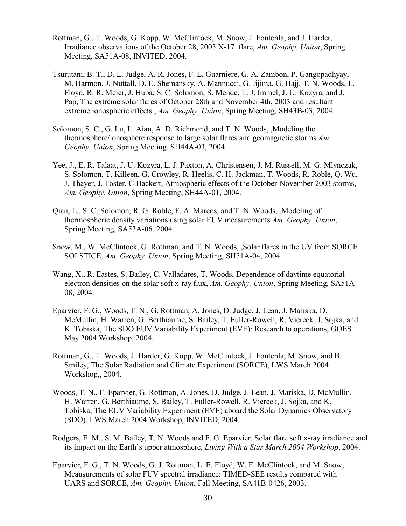- Rottman, G., T. Woods, G. Kopp, W. McClintock, M. Snow, J. Fontenla, and J. Harder, Irradiance observations of the October 28, 2003 X-17 flare, *Am. Geophy. Union*, Spring Meeting, SA51A-08, INVITED, 2004.
- Tsurutani, B. T., D. L. Judge, A. R. Jones, F. L. Guarniere, G. A. Zambon, P. Gangopadhyay, M. Harmon, J. Nuttall, D. E. Shemansky, A. Mannucci, G. Iijima, G. Hajj, T. N. Woods, L. Floyd, R. R. Meier, J. Huba, S. C. Solomon, S. Mende, T. J. Immel, J. U. Kozyra, and J. Pap, The extreme solar flares of October 28th and November 4th, 2003 and resultant extreme ionospheric effects , *Am. Geophy. Union*, Spring Meeting, SH43B-03, 2004.
- Solomon, S. C., G. Lu, L. Aian, A. D. Richmond, and T. N. Woods, , Modeling the thermosphere/ionosphere response to large solar flares and geomagnetic storms *Am. Geophy. Union*, Spring Meeting, SH44A-03, 2004.
- Yee, J., E. R. Talaat, J. U. Kozyra, L. J. Paxton, A. Christensen, J. M. Russell, M. G. Mlynczak, S. Solomon, T. Killeen, G. Crowley, R. Heelis, C. H. Jackman, T. Woods, R. Roble, Q. Wu, J. Thayer, J. Foster, C Hackert, Atmospheric effects of the October-November 2003 storms, *Am. Geophy. Union*, Spring Meeting, SH44A-01, 2004.
- Qian, L., S. C. Solomon, R. G. Roble, F. A. Marcos, and T. N. Woods, ,Modeling of thermospheric density variations using solar EUV measurements *Am. Geophy. Union*, Spring Meeting, SA53A-06, 2004.
- Snow, M., W. McClintock, G. Rottman, and T. N. Woods, ,Solar flares in the UV from SORCE SOLSTICE, *Am. Geophy. Union*, Spring Meeting, SH51A-04, 2004.
- Wang, X., R. Eastes, S. Bailey, C. Valladares, T. Woods, Dependence of daytime equatorial electron densities on the solar soft x-ray flux, *Am. Geophy. Union*, Spring Meeting, SA51A-08, 2004.
- Eparvier, F. G., Woods, T. N., G. Rottman, A. Jones, D. Judge, J. Lean, J. Mariska, D. McMullin, H. Warren, G. Berthiaume, S. Bailey, T. Fuller-Rowell, R. Viereck, J. Sojka, and K. Tobiska, The SDO EUV Variability Experiment (EVE): Research to operations, GOES May 2004 Workshop, 2004.
- Rottman, G., T. Woods, J. Harder, G. Kopp, W. McClintock, J. Fontenla, M. Snow, and B. Smiley, The Solar Radiation and Climate Experiment (SORCE), LWS March 2004 Workshop,, 2004.
- Woods, T. N., F. Eparvier, G. Rottman, A. Jones, D. Judge, J. Lean, J. Mariska, D. McMullin, H. Warren, G. Berthiaume, S. Bailey, T. Fuller-Rowell, R. Viereck, J. Sojka, and K. Tobiska, The EUV Variability Experiment (EVE) aboard the Solar Dynamics Observatory (SDO), LWS March 2004 Workshop, INVITED, 2004.
- Rodgers, E. M., S. M. Bailey, T. N. Woods and F. G. Eparvier, Solar flare soft x-ray irradiance and its impact on the Earth's upper atmosphere, *Living With a Star March 2004 Workshop*, 2004.
- Eparvier, F. G., T. N. Woods, G. J. Rottman, L. E. Floyd, W. E. McClintock, and M. Snow, Meausurements of solar FUV spectral irradiance: TIMED-SEE results compared with UARS and SORCE, *Am. Geophy. Union*, Fall Meeting, SA41B-0426, 2003.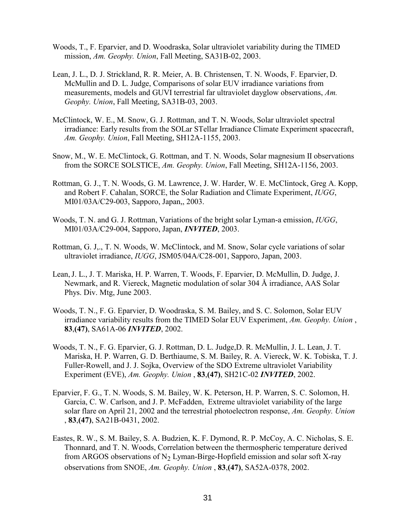- Woods, T., F. Eparvier, and D. Woodraska, Solar ultraviolet variability during the TIMED mission, *Am. Geophy. Union*, Fall Meeting, SA31B-02, 2003.
- Lean, J. L., D. J. Strickland, R. R. Meier, A. B. Christensen, T. N. Woods, F. Eparvier, D. McMullin and D. L. Judge, Comparisons of solar EUV irradiance variations from measurements, models and GUVI terrestrial far ultraviolet dayglow observations, *Am. Geophy. Union*, Fall Meeting, SA31B-03, 2003.
- McClintock, W. E., M. Snow, G. J. Rottman, and T. N. Woods, Solar ultraviolet spectral irradiance: Early results from the SOLar STellar Irradiance Climate Experiment spacecraft, *Am. Geophy. Union*, Fall Meeting, SH12A-1155, 2003.
- Snow, M., W. E. McClintock, G. Rottman, and T. N. Woods, Solar magnesium II observations from the SORCE SOLSTICE, *Am. Geophy. Union*, Fall Meeting, SH12A-1156, 2003.
- Rottman, G. J., T. N. Woods, G. M. Lawrence, J. W. Harder, W. E. McClintock, Greg A. Kopp, and Robert F. Cahalan, SORCE, the Solar Radiation and Climate Experiment, *IUGG*, MI01/03A/C29-003, Sapporo, Japan,, 2003.
- Woods, T. N. and G. J. Rottman, Variations of the bright solar Lyman-a emission, *IUGG*, MI01/03A/C29-004, Sapporo, Japan, *INVITED*, 2003.
- Rottman, G. J,., T. N. Woods, W. McClintock, and M. Snow, Solar cycle variations of solar ultraviolet irradiance, *IUGG*, JSM05/04A/C28-001, Sapporo, Japan, 2003.
- Lean,J. L., J. T. Mariska, H. P. Warren, T. Woods, F. Eparvier, D. McMullin, D. Judge, J. Newmark, and R. Viereck, Magnetic modulation of solar 304 Å irradiance, AAS Solar Phys. Div. Mtg, June 2003.
- Woods, T. N., F. G. Eparvier, D. Woodraska, S. M. Bailey, and S. C. Solomon, Solar EUV irradiance variability results from the TIMED Solar EUV Experiment, *Am. Geophy. Union* , **83**,**(47)**, SA61A-06 *INVITED*, 2002.
- Woods, T. N., F. G. Eparvier, G. J. Rottman, D. L. Judge,D. R. McMullin, J. L. Lean, J. T. Mariska, H. P. Warren, G. D. Berthiaume, S. M. Bailey, R. A. Viereck, W. K. Tobiska, T. J. Fuller-Rowell, and J. J. Sojka, Overview of the SDO Extreme ultraviolet Variability Experiment (EVE), *Am. Geophy. Union* , **83**,**(47)**, SH21C-02 *INVITED*, 2002.
- Eparvier, F. G., T. N. Woods, S. M. Bailey, W. K. Peterson, H. P. Warren, S. C. Solomon, H. Garcia, C. W. Carlson, and J. P. McFadden, Extreme ultraviolet variability of the large solar flare on April 21, 2002 and the terrestrial photoelectron response, *Am. Geophy. Union* , **83**,**(47)**, SA21B-0431, 2002.
- Eastes, R. W., S. M. Bailey, S. A. Budzien, K. F. Dymond, R. P. McCoy, A. C. Nicholas, S. E. Thonnard, and T. N. Woods, Correlation between the thermospheric temperature derived from ARGOS observations of  $N_2$  Lyman-Birge-Hopfield emission and solar soft X-ray observations from SNOE, *Am. Geophy. Union* , **83**,**(47)**, SA52A-0378, 2002.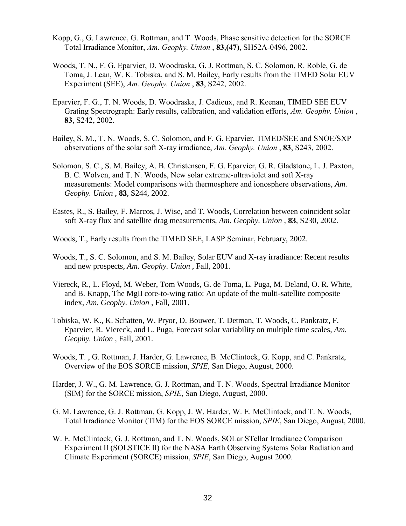- Kopp, G., G. Lawrence, G. Rottman, and T. Woods, Phase sensitive detection for the SORCE Total Irradiance Monitor, *Am. Geophy. Union* , **83**,**(47)**, SH52A-0496, 2002.
- Woods, T. N., F. G. Eparvier, D. Woodraska, G. J. Rottman, S. C. Solomon, R. Roble, G. de Toma, J. Lean, W. K. Tobiska, and S. M. Bailey, Early results from the TIMED Solar EUV Experiment (SEE), *Am. Geophy. Union* , **83**, S242, 2002.
- Eparvier, F. G., T. N. Woods, D. Woodraska, J. Cadieux, and R. Keenan, TIMED SEE EUV Grating Spectrograph: Early results, calibration, and validation efforts, *Am. Geophy. Union* , **83**, S242, 2002.
- Bailey, S. M., T. N. Woods, S. C. Solomon, and F. G. Eparvier, TIMED/SEE and SNOE/SXP observations of the solar soft X-ray irradiance, *Am. Geophy. Union* , **83**, S243, 2002.
- Solomon, S. C., S. M. Bailey, A. B. Christensen, F. G. Eparvier, G. R. Gladstone, L. J. Paxton, B. C. Wolven, and T. N. Woods, New solar extreme-ultraviolet and soft X-ray measurements: Model comparisons with thermosphere and ionosphere observations, *Am. Geophy. Union* , **83**, S244, 2002.
- Eastes, R., S. Bailey, F. Marcos, J. Wise, and T. Woods, Correlation between coincident solar soft X-ray flux and satellite drag measurements, *Am. Geophy. Union* , **83**, S230, 2002.
- Woods, T., Early results from the TIMED SEE, LASP Seminar, February, 2002.
- Woods, T., S. C. Solomon, and S. M. Bailey, Solar EUV and X-ray irradiance: Recent results and new prospects, *Am. Geophy. Union* , Fall, 2001.
- Viereck, R., L. Floyd, M. Weber, Tom Woods, G. de Toma, L. Puga, M. Deland, O. R. White, and B. Knapp, The MgII core-to-wing ratio: An update of the multi-satellite composite index, *Am. Geophy. Union* , Fall, 2001.
- Tobiska, W. K., K. Schatten, W. Pryor, D. Bouwer, T. Detman, T. Woods, C. Pankratz, F. Eparvier, R. Viereck, and L. Puga, Forecast solar variability on multiple time scales, *Am. Geophy. Union* , Fall, 2001.
- Woods, T. , G. Rottman, J. Harder, G. Lawrence, B. McClintock, G. Kopp, and C. Pankratz, Overview of the EOS SORCE mission, *SPIE*, San Diego, August, 2000.
- Harder, J. W., G. M. Lawrence, G. J. Rottman, and T. N. Woods, Spectral Irradiance Monitor (SIM) for the SORCE mission, *SPIE*, San Diego, August, 2000.
- G. M. Lawrence, G. J. Rottman, G. Kopp, J. W. Harder, W. E. McClintock, and T. N. Woods, Total Irradiance Monitor (TIM) for the EOS SORCE mission, *SPIE*, San Diego, August, 2000.
- W. E. McClintock, G. J. Rottman, and T. N. Woods, SOLar STellar Irradiance Comparison Experiment II (SOLSTICE II) for the NASA Earth Observing Systems Solar Radiation and Climate Experiment (SORCE) mission, *SPIE*, San Diego, August 2000.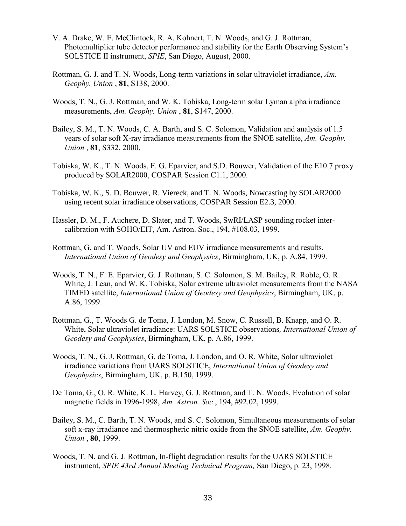- V. A. Drake, W. E. McClintock, R. A. Kohnert, T. N. Woods, and G. J. Rottman, Photomultiplier tube detector performance and stability for the Earth Observing System's SOLSTICE II instrument, *SPIE*, San Diego, August, 2000.
- Rottman, G. J. and T. N. Woods, Long-term variations in solar ultraviolet irradiance, *Am. Geophy. Union* , **81**, S138, 2000.
- Woods, T. N., G. J. Rottman, and W. K. Tobiska, Long-term solar Lyman alpha irradiance measurements, *Am. Geophy. Union* , **81**, S147, 2000.
- Bailey, S. M., T. N. Woods, C. A. Barth, and S. C. Solomon, Validation and analysis of 1.5 years of solar soft X-ray irradiance measurements from the SNOE satellite, *Am. Geophy. Union* , **81**, S332, 2000.
- Tobiska, W. K., T. N. Woods, F. G. Eparvier, and S.D. Bouwer, Validation of the E10.7 proxy produced by SOLAR2000, COSPAR Session C1.1, 2000.
- Tobiska, W. K., S. D. Bouwer, R. Viereck, and T. N. Woods, Nowcasting by SOLAR2000 using recent solar irradiance observations, COSPAR Session E2.3, 2000.
- Hassler, D. M., F. Auchere, D. Slater, and T. Woods, SwRI/LASP sounding rocket intercalibration with SOHO/EIT, Am. Astron. Soc., 194, #108.03, 1999.
- Rottman, G. and T. Woods, Solar UV and EUV irradiance measurements and results, *International Union of Geodesy and Geophysics*, Birmingham, UK, p. A.84, 1999.
- Woods, T. N., F. E. Eparvier, G. J. Rottman, S. C. Solomon, S. M. Bailey, R. Roble, O. R. White, J. Lean, and W. K. Tobiska, Solar extreme ultraviolet measurements from the NASA TIMED satellite, *International Union of Geodesy and Geophysics*, Birmingham, UK, p. A.86, 1999.
- Rottman, G., T. Woods G. de Toma, J. London, M. Snow, C. Russell, B. Knapp, and O. R. White, Solar ultraviolet irradiance: UARS SOLSTICE observations*, International Union of Geodesy and Geophysics*, Birmingham, UK, p. A.86, 1999.
- Woods, T. N., G. J. Rottman, G. de Toma, J. London, and O. R. White, Solar ultraviolet irradiance variations from UARS SOLSTICE, *International Union of Geodesy and Geophysics*, Birmingham, UK, p. B.150, 1999.
- De Toma, G., O. R. White, K. L. Harvey, G. J. Rottman, and T. N. Woods, Evolution of solar magnetic fields in 1996-1998, *Am. Astron. Soc*., 194, #92.02, 1999.
- Bailey, S. M., C. Barth, T. N. Woods, and S. C. Solomon, Simultaneous measurements of solar soft x-ray irradiance and thermospheric nitric oxide from the SNOE satellite, *Am. Geophy. Union* , **80**, 1999.
- Woods, T. N. and G. J. Rottman, In-flight degradation results for the UARS SOLSTICE instrument, *SPIE 43rd Annual Meeting Technical Program,* San Diego, p. 23, 1998.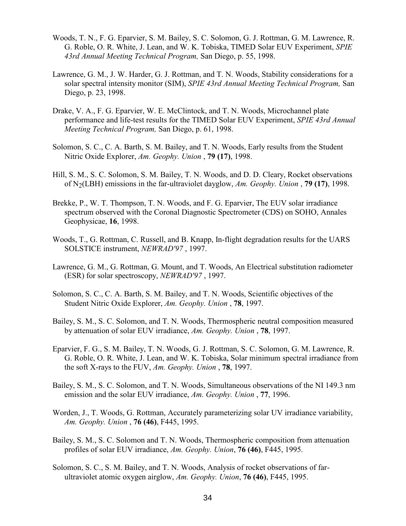- Woods, T. N., F. G. Eparvier, S. M. Bailey, S. C. Solomon, G. J. Rottman, G. M. Lawrence, R. G. Roble, O. R. White, J. Lean, and W. K. Tobiska, TIMED Solar EUV Experiment, *SPIE 43rd Annual Meeting Technical Program,* San Diego, p. 55, 1998.
- Lawrence, G. M., J. W. Harder, G. J. Rottman, and T. N. Woods, Stability considerations for a solar spectral intensity monitor (SIM), *SPIE 43rd Annual Meeting Technical Program,* San Diego, p. 23, 1998.
- Drake, V. A., F. G. Eparvier, W. E. McClintock, and T. N. Woods, Microchannel plate performance and life-test results for the TIMED Solar EUV Experiment, *SPIE 43rd Annual Meeting Technical Program,* San Diego, p. 61, 1998.
- Solomon, S. C., C. A. Barth, S. M. Bailey, and T. N. Woods, Early results from the Student Nitric Oxide Explorer, *Am. Geophy. Union* , **79 (17)**, 1998.
- Hill, S. M., S. C. Solomon, S. M. Bailey, T. N. Woods, and D. D. Cleary, Rocket observations of N2(LBH) emissions in the far-ultraviolet dayglow, *Am. Geophy. Union* , **79 (17)**, 1998.
- Brekke, P., W. T. Thompson, T. N. Woods, and F. G. Eparvier, The EUV solar irradiance spectrum observed with the Coronal Diagnostic Spectrometer (CDS) on SOHO, Annales Geophysicae, **16**, 1998.
- Woods, T., G. Rottman, C. Russell, and B. Knapp, In-flight degradation results for the UARS SOLSTICE instrument, *NEWRAD'97* , 1997.
- Lawrence, G. M., G. Rottman, G. Mount, and T. Woods, An Electrical substitution radiometer (ESR) for solar spectroscopy, *NEWRAD'97* , 1997.
- Solomon, S. C., C. A. Barth, S. M. Bailey, and T. N. Woods, Scientific objectives of the Student Nitric Oxide Explorer, *Am. Geophy. Union* , **78**, 1997.
- Bailey, S. M., S. C. Solomon, and T. N. Woods, Thermospheric neutral composition measured by attenuation of solar EUV irradiance, *Am. Geophy. Union* , **78**, 1997.
- Eparvier, F. G., S. M. Bailey, T. N. Woods, G. J. Rottman, S. C. Solomon, G. M. Lawrence, R. G. Roble, O. R. White, J. Lean, and W. K. Tobiska, Solar minimum spectral irradiance from the soft X-rays to the FUV, *Am. Geophy. Union* , **78**, 1997.
- Bailey, S. M., S. C. Solomon, and T. N. Woods, Simultaneous observations of the NI 149.3 nm emission and the solar EUV irradiance, *Am. Geophy. Union* , **77**, 1996.
- Worden, J., T. Woods, G. Rottman, Accurately parameterizing solar UV irradiance variability, *Am. Geophy. Union* , **76 (46)**, F445, 1995.
- Bailey, S. M., S. C. Solomon and T. N. Woods, Thermospheric composition from attenuation profiles of solar EUV irradiance, *Am. Geophy. Union*, **76 (46)**, F445, 1995.
- Solomon, S. C., S. M. Bailey, and T. N. Woods, Analysis of rocket observations of farultraviolet atomic oxygen airglow, *Am. Geophy. Union*, **76 (46)**, F445, 1995.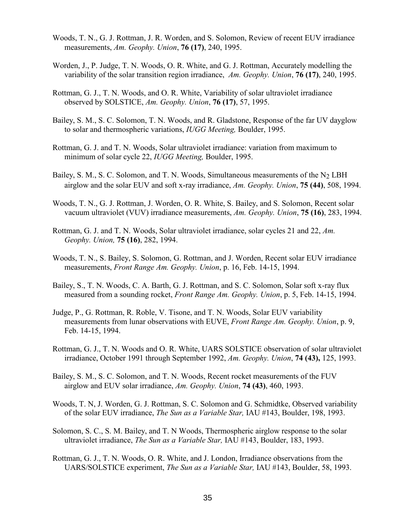- Woods, T. N., G. J. Rottman, J. R. Worden, and S. Solomon, Review of recent EUV irradiance measurements, *Am. Geophy. Union*, **76 (17)**, 240, 1995.
- Worden, J., P. Judge, T. N. Woods, O. R. White, and G. J. Rottman, Accurately modelling the variability of the solar transition region irradiance, *Am. Geophy. Union*, **76 (17)**, 240, 1995.
- Rottman, G. J., T. N. Woods, and O. R. White, Variability of solar ultraviolet irradiance observed by SOLSTICE, *Am. Geophy. Union*, **76 (17)**, 57, 1995.
- Bailey, S. M., S. C. Solomon, T. N. Woods, and R. Gladstone, Response of the far UV dayglow to solar and thermospheric variations, *IUGG Meeting,* Boulder, 1995.
- Rottman, G. J. and T. N. Woods, Solar ultraviolet irradiance: variation from maximum to minimum of solar cycle 22, *IUGG Meeting,* Boulder, 1995.
- Bailey, S. M., S. C. Solomon, and T. N. Woods, Simultaneous measurements of the  $N_2$  LBH airglow and the solar EUV and soft x-ray irradiance, *Am. Geophy. Union*, **75 (44)**, 508, 1994.
- Woods, T. N., G. J. Rottman, J. Worden, O. R. White, S. Bailey, and S. Solomon, Recent solar vacuum ultraviolet (VUV) irradiance measurements, *Am. Geophy. Union*, **75 (16)**, 283, 1994.
- Rottman, G. J. and T. N. Woods, Solar ultraviolet irradiance, solar cycles 21 and 22, *Am. Geophy. Union,* **75 (16)**, 282, 1994.
- Woods, T. N., S. Bailey, S. Solomon, G. Rottman, and J. Worden, Recent solar EUV irradiance measurements, *Front Range Am. Geophy. Union*, p. 16, Feb. 14-15, 1994.
- Bailey, S., T. N. Woods, C. A. Barth, G. J. Rottman, and S. C. Solomon, Solar soft x-ray flux measured from a sounding rocket, *Front Range Am. Geophy. Union*, p. 5, Feb. 14-15, 1994.
- Judge, P., G. Rottman, R. Roble, V. Tisone, and T. N. Woods, Solar EUV variability measurements from lunar observations with EUVE, *Front Range Am. Geophy. Union*, p. 9, Feb. 14-15, 1994.
- Rottman, G. J., T. N. Woods and O. R. White, UARS SOLSTICE observation of solar ultraviolet irradiance, October 1991 through September 1992, *Am. Geophy. Union*, **74 (43),** 125, 1993.
- Bailey, S. M., S. C. Solomon, and T. N. Woods, Recent rocket measurements of the FUV airglow and EUV solar irradiance, *Am. Geophy. Union*, **74 (43)**, 460, 1993.
- Woods, T. N, J. Worden, G. J. Rottman, S. C. Solomon and G. Schmidtke, Observed variability of the solar EUV irradiance, *The Sun as a Variable Star,* IAU #143, Boulder, 198, 1993.
- Solomon, S. C., S. M. Bailey, and T. N Woods, Thermospheric airglow response to the solar ultraviolet irradiance, *The Sun as a Variable Star,* IAU #143, Boulder, 183, 1993.
- Rottman, G. J., T. N. Woods, O. R. White, and J. London, Irradiance observations from the UARS/SOLSTICE experiment, *The Sun as a Variable Star,* IAU #143, Boulder, 58, 1993.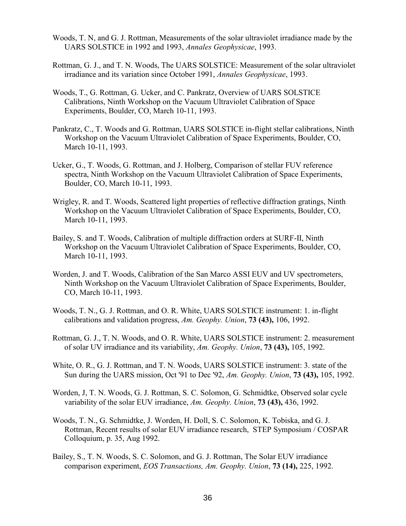- Woods, T. N, and G. J. Rottman, Measurements of the solar ultraviolet irradiance made by the UARS SOLSTICE in 1992 and 1993, *Annales Geophysicae*, 1993.
- Rottman, G. J., and T. N. Woods, The UARS SOLSTICE: Measurement of the solar ultraviolet irradiance and its variation since October 1991, *Annales Geophysicae*, 1993.
- Woods, T., G. Rottman, G. Ucker, and C. Pankratz, Overview of UARS SOLSTICE Calibrations, Ninth Workshop on the Vacuum Ultraviolet Calibration of Space Experiments, Boulder, CO, March 10-11, 1993.
- Pankratz, C., T. Woods and G. Rottman, UARS SOLSTICE in-flight stellar calibrations, Ninth Workshop on the Vacuum Ultraviolet Calibration of Space Experiments, Boulder, CO, March 10-11, 1993.
- Ucker, G., T. Woods, G. Rottman, and J. Holberg, Comparison of stellar FUV reference spectra, Ninth Workshop on the Vacuum Ultraviolet Calibration of Space Experiments, Boulder, CO, March 10-11, 1993.
- Wrigley, R. and T. Woods, Scattered light properties of reflective diffraction gratings, Ninth Workshop on the Vacuum Ultraviolet Calibration of Space Experiments, Boulder, CO, March 10-11, 1993.
- Bailey, S. and T. Woods, Calibration of multiple diffraction orders at SURF-II, Ninth Workshop on the Vacuum Ultraviolet Calibration of Space Experiments, Boulder, CO, March 10-11, 1993.
- Worden, J. and T. Woods, Calibration of the San Marco ASSI EUV and UV spectrometers, Ninth Workshop on the Vacuum Ultraviolet Calibration of Space Experiments, Boulder, CO, March 10-11, 1993.
- Woods, T. N., G. J. Rottman, and O. R. White, UARS SOLSTICE instrument: 1. in-flight calibrations and validation progress, *Am. Geophy. Union*, **73 (43),** 106, 1992.
- Rottman, G. J., T. N. Woods, and O. R. White, UARS SOLSTICE instrument: 2. measurement of solar UV irradiance and its variability, *Am. Geophy. Union*, **73 (43),** 105, 1992.
- White, O. R., G. J. Rottman, and T. N. Woods, UARS SOLSTICE instrument: 3. state of the Sun during the UARS mission, Oct '91 to Dec '92, *Am. Geophy. Union*, **73 (43),** 105, 1992.
- Worden, J, T. N. Woods, G. J. Rottman, S. C. Solomon, G. Schmidtke, Observed solar cycle variability of the solar EUV irradiance, *Am. Geophy. Union*, **73 (43),** 436, 1992.
- Woods, T. N., G. Schmidtke, J. Worden, H. Doll, S. C. Solomon, K. Tobiska, and G. J. Rottman, Recent results of solar EUV irradiance research, STEP Symposium / COSPAR Colloquium, p. 35, Aug 1992.
- Bailey, S., T. N. Woods, S. C. Solomon, and G. J. Rottman, The Solar EUV irradiance comparison experiment, *EOS Transactions, Am. Geophy. Union*, **73 (14),** 225, 1992.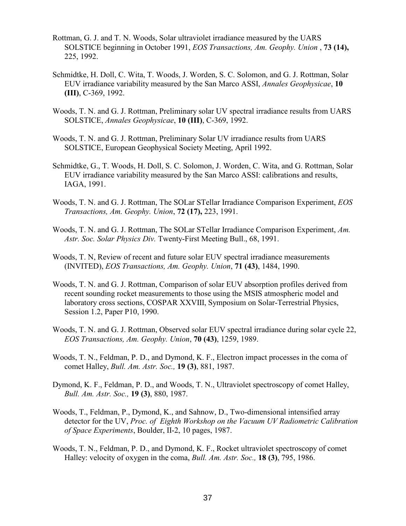- Rottman, G. J. and T. N. Woods, Solar ultraviolet irradiance measured by the UARS SOLSTICE beginning in October 1991, *EOS Transactions, Am. Geophy. Union* , **73 (14),**  225, 1992.
- Schmidtke, H. Doll, C. Wita, T. Woods, J. Worden, S. C. Solomon, and G. J. Rottman, Solar EUV irradiance variability measured by the San Marco ASSI, *Annales Geophysicae*, **10 (III)**, C-369, 1992.
- Woods, T. N. and G. J. Rottman, Preliminary solar UV spectral irradiance results from UARS SOLSTICE, *Annales Geophysicae*, **10 (III)**, C-369, 1992.
- Woods, T. N. and G. J. Rottman, Preliminary Solar UV irradiance results from UARS SOLSTICE, European Geophysical Society Meeting, April 1992.
- Schmidtke, G., T. Woods, H. Doll, S. C. Solomon, J. Worden, C. Wita, and G. Rottman, Solar EUV irradiance variability measured by the San Marco ASSI: calibrations and results, IAGA, 1991.
- Woods, T. N. and G. J. Rottman, The SOLar STellar Irradiance Comparison Experiment, *EOS Transactions, Am. Geophy. Union*, **72 (17),** 223, 1991.
- Woods, T. N. and G. J. Rottman, The SOLar STellar Irradiance Comparison Experiment, *Am. Astr. Soc. Solar Physics Div.* Twenty-First Meeting Bull., 68, 1991.
- Woods, T. N, Review of recent and future solar EUV spectral irradiance measurements (INVITED), *EOS Transactions, Am. Geophy. Union*, **71 (43)**, 1484, 1990.
- Woods, T. N. and G. J. Rottman, Comparison of solar EUV absorption profiles derived from recent sounding rocket measurements to those using the MSIS atmospheric model and laboratory cross sections, COSPAR XXVIII, Symposium on Solar-Terrestrial Physics, Session 1.2, Paper P10, 1990.
- Woods, T. N. and G. J. Rottman, Observed solar EUV spectral irradiance during solar cycle 22, *EOS Transactions, Am. Geophy. Union*, **70 (43)**, 1259, 1989.
- Woods, T. N., Feldman, P. D., and Dymond, K. F., Electron impact processes in the coma of comet Halley, *Bull. Am. Astr. Soc.,* **19 (3)**, 881, 1987.
- Dymond, K. F., Feldman, P. D., and Woods, T. N., Ultraviolet spectroscopy of comet Halley, *Bull. Am. Astr. Soc.,* **19 (3)**, 880, 1987.
- Woods, T., Feldman, P., Dymond, K., and Sahnow, D., Two-dimensional intensified array detector for the UV, *Proc. of Eighth Workshop on the Vacuum UV Radiometric Calibration of Space Experiments*, Boulder, II-2, 10 pages, 1987.
- Woods, T. N., Feldman, P. D., and Dymond, K. F., Rocket ultraviolet spectroscopy of comet Halley: velocity of oxygen in the coma, *Bull. Am. Astr. Soc.,* **18 (3)**, 795, 1986.